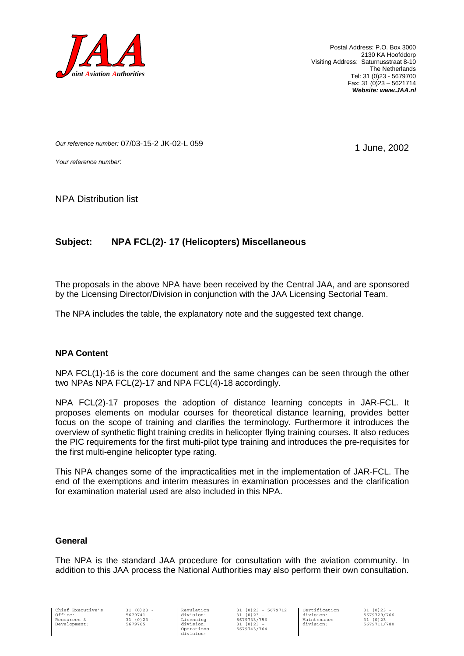

Postal Address: P.O. Box 3000 2130 KA Hoofddorp Visiting Address: Saturnusstraat 8-10 The Netherlands Tel: 31 (0)23 - 5679700 Fax: 31 (0)23 – 5621714 *Website: www.JAA.nl*

1 June, 2002

*Our reference number:* 07/03-15-2 JK-02-L 059

*Your reference number:*

NPA Distribution list

# **Subject: NPA FCL(2)- 17 (Helicopters) Miscellaneous**

The proposals in the above NPA have been received by the Central JAA, and are sponsored by the Licensing Director/Division in conjunction with the JAA Licensing Sectorial Team.

The NPA includes the table, the explanatory note and the suggested text change.

#### **NPA Content**

NPA FCL(1)-16 is the core document and the same changes can be seen through the other two NPAs NPA FCL(2)-17 and NPA FCL(4)-18 accordingly.

NPA FCL(2)-17 proposes the adoption of distance learning concepts in JAR-FCL. It proposes elements on modular courses for theoretical distance learning, provides better focus on the scope of training and clarifies the terminology. Furthermore it introduces the overview of synthetic flight training credits in helicopter flying training courses. It also reduces the PIC requirements for the first multi-pilot type training and introduces the pre-requisites for the first multi-engine helicopter type rating.

This NPA changes some of the impracticalities met in the implementation of JAR-FCL. The end of the exemptions and interim measures in examination processes and the clarification for examination material used are also included in this NPA.

#### **General**

The NPA is the standard JAA procedure for consultation with the aviation community. In addition to this JAA process the National Authorities may also perform their own consultation.

Chief Executive's Office: Resources & Development:

31 (0)23 - 5679741 31 (0)23 - 5679765

Regulation division: Licensing division: Operations division:

31 (0)23 - 5679712 31 (0)23 - 5679733/756  $31 (0)23$ 5679743/764

Certification division: Maintenance division:

31 (0)23 - 5679729/766 31 (0)23 5679711/780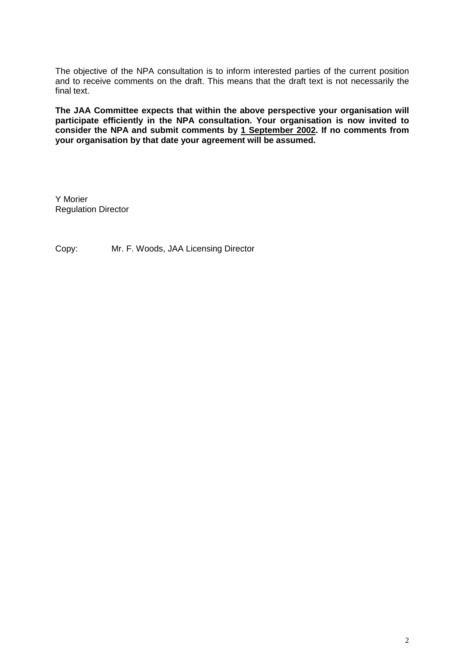The objective of the NPA consultation is to inform interested parties of the current position and to receive comments on the draft. This means that the draft text is not necessarily the final text.

**The JAA Committee expects that within the above perspective your organisation will participate efficiently in the NPA consultation. Your organisation is now invited to consider the NPA and submit comments by 1 September 2002. If no comments from your organisation by that date your agreement will be assumed.**

Y Morier Regulation Director

Copy: Mr. F. Woods, JAA Licensing Director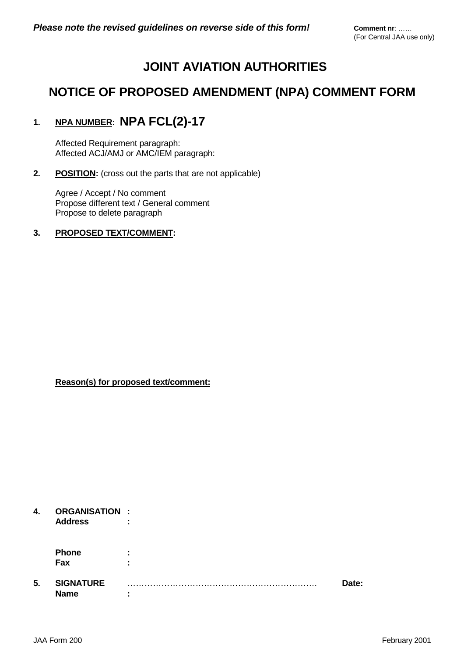# **JOINT AVIATION AUTHORITIES**

# **NOTICE OF PROPOSED AMENDMENT (NPA) COMMENT FORM**

# **1. NPA NUMBER: NPA FCL(2)-17**

Affected Requirement paragraph: Affected ACJ/AMJ or AMC/IEM paragraph:

# **2.** POSITION: (cross out the parts that are not applicable)

Agree / Accept / No comment Propose different text / General comment Propose to delete paragraph

# **3. PROPOSED TEXT/COMMENT:**

**Reason(s) for proposed text/comment:**

# **4. ORGANISATION :**

**Address :**

| Phone |  |
|-------|--|
| Fax   |  |

# **5. SIGNATURE** …………………………………………………………. **Date: Name :**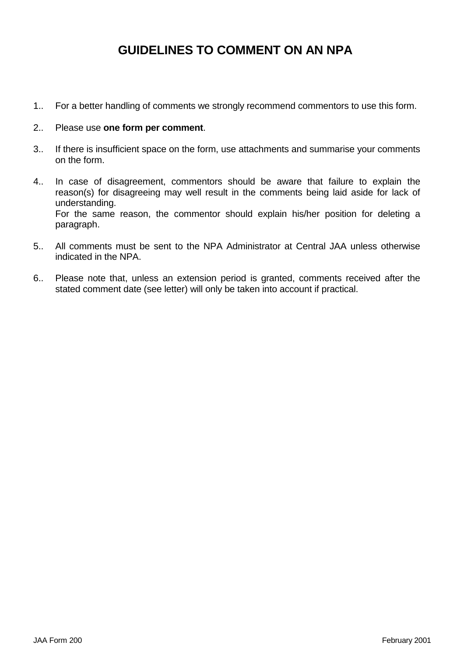# **GUIDELINES TO COMMENT ON AN NPA**

1.. For a better handling of comments we strongly recommend commentors to use this form.

# 2.. Please use **one form per comment**.

- 3.. If there is insufficient space on the form, use attachments and summarise your comments on the form.
- 4.. In case of disagreement, commentors should be aware that failure to explain the reason(s) for disagreeing may well result in the comments being laid aside for lack of understanding. For the same reason, the commentor should explain his/her position for deleting a paragraph.
- 5.. All comments must be sent to the NPA Administrator at Central JAA unless otherwise indicated in the NPA.
- 6.. Please note that, unless an extension period is granted, comments received after the stated comment date (see letter) will only be taken into account if practical.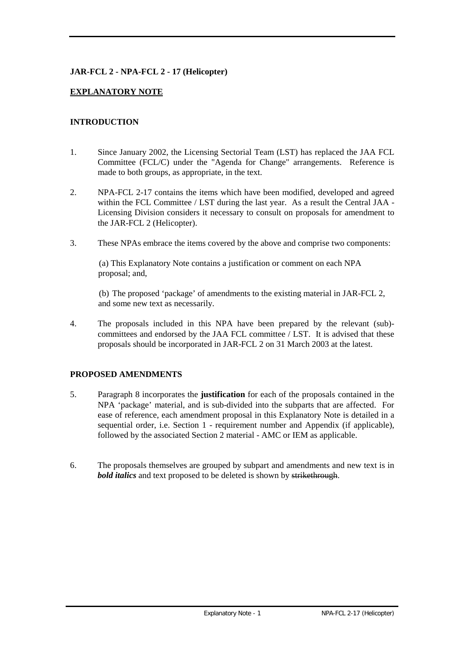# **JAR-FCL 2 - NPA-FCL 2 - 17 (Helicopter)**

# **EXPLANATORY NOTE**

# **INTRODUCTION**

- 1. Since January 2002, the Licensing Sectorial Team (LST) has replaced the JAA FCL Committee (FCL/C) under the "Agenda for Change" arrangements. Reference is made to both groups, as appropriate, in the text.
- 2. NPA-FCL 2-17 contains the items which have been modified, developed and agreed within the FCL Committee / LST during the last year. As a result the Central JAA - Licensing Division considers it necessary to consult on proposals for amendment to the JAR-FCL 2 (Helicopter).
- 3. These NPAs embrace the items covered by the above and comprise two components:

(a) This Explanatory Note contains a justification or comment on each NPA proposal; and,

(b) The proposed 'package' of amendments to the existing material in JAR-FCL 2, and some new text as necessarily.

4. The proposals included in this NPA have been prepared by the relevant (sub) committees and endorsed by the JAA FCL committee / LST. It is advised that these proposals should be incorporated in JAR-FCL 2 on 31 March 2003 at the latest.

# **PROPOSED AMENDMENTS**

- 5. Paragraph 8 incorporates the **justification** for each of the proposals contained in the NPA 'package' material, and is sub-divided into the subparts that are affected. For ease of reference, each amendment proposal in this Explanatory Note is detailed in a sequential order, i.e. Section 1 - requirement number and Appendix (if applicable), followed by the associated Section 2 material - AMC or IEM as applicable.
- 6. The proposals themselves are grouped by subpart and amendments and new text is in *bold italics* and text proposed to be deleted is shown by strikethrough.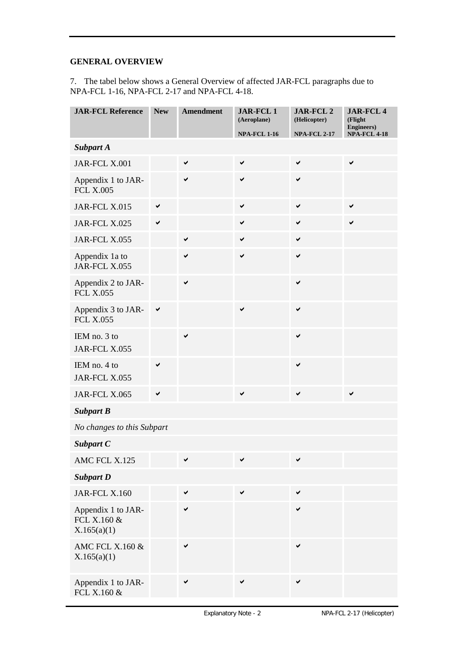# **GENERAL OVERVIEW**

7. The tabel below shows a General Overview of affected JAR-FCL paragraphs due to NPA-FCL 1-16, NPA-FCL 2-17 and NPA-FCL 4-18.

| <b>JAR-FCL Reference</b>                         | <b>New</b>   | <b>Amendment</b> | <b>JAR-FCL1</b><br>(Aeroplane) | <b>JAR-FCL 2</b><br>(Helicopter) | <b>JAR-FCL4</b><br>(Flight<br><b>Engineers</b> ) |
|--------------------------------------------------|--------------|------------------|--------------------------------|----------------------------------|--------------------------------------------------|
|                                                  |              |                  | <b>NPA-FCL 1-16</b>            | <b>NPA-FCL 2-17</b>              | <b>NPA-FCL 4-18</b>                              |
| <b>Subpart A</b>                                 |              |                  |                                |                                  |                                                  |
| JAR-FCL X.001                                    |              | $\checkmark$     | $\checkmark$                   | $\checkmark$                     | $\checkmark$                                     |
| Appendix 1 to JAR-<br><b>FCL X.005</b>           |              | $\checkmark$     | $\checkmark$                   | ✔                                |                                                  |
| JAR-FCL X.015                                    | ✔            |                  | ✔                              | ✔                                | ✔                                                |
| JAR-FCL X.025                                    | ✔            |                  | ✔                              | ✔                                | ✔                                                |
| JAR-FCL X.055                                    |              | $\checkmark$     | $\checkmark$                   | ✔                                |                                                  |
| Appendix 1a to<br>JAR-FCL X.055                  |              | $\checkmark$     | $\checkmark$                   | ✔                                |                                                  |
| Appendix 2 to JAR-<br><b>FCL X.055</b>           |              | $\checkmark$     |                                | ✔                                |                                                  |
| Appendix 3 to JAR-<br><b>FCL X.055</b>           | $\checkmark$ |                  | $\checkmark$                   | $\checkmark$                     |                                                  |
| IEM no. 3 to<br>JAR-FCL X.055                    |              | ✔                |                                | ✔                                |                                                  |
| IEM no. 4 to<br>JAR-FCL X.055                    | ✔            |                  |                                | $\checkmark$                     |                                                  |
| JAR-FCL X.065                                    | ✔            |                  | ✔                              | ✔                                | ✔                                                |
| <b>Subpart B</b>                                 |              |                  |                                |                                  |                                                  |
| No changes to this Subpart                       |              |                  |                                |                                  |                                                  |
| Subpart C                                        |              |                  |                                |                                  |                                                  |
| AMC FCL X.125                                    |              | ✔                |                                | ✔                                |                                                  |
| <b>Subpart D</b>                                 |              |                  |                                |                                  |                                                  |
| JAR-FCL X.160                                    |              | $\checkmark$     | $\checkmark$                   | $\checkmark$                     |                                                  |
| Appendix 1 to JAR-<br>FCL X.160 &<br>X.165(a)(1) |              | $\checkmark$     |                                | $\checkmark$                     |                                                  |
| AMC FCL X.160 &<br>X.165(a)(1)                   |              | $\checkmark$     |                                | ✔                                |                                                  |
| Appendix 1 to JAR-<br>FCL X.160 &                |              | $\checkmark$     | ✔                              | ✔                                |                                                  |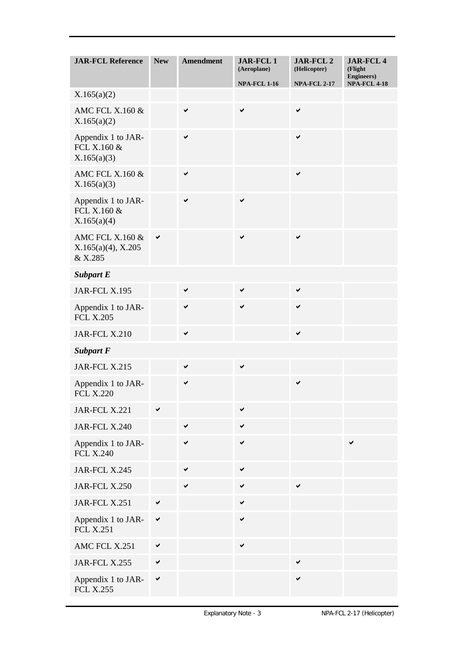| <b>JAR-FCL Reference</b>                              | <b>New</b>   | <b>Amendment</b> | <b>JAR-FCL1</b><br>(Aeroplane) | JAR-FCL 2<br>(Helicopter) | <b>JAR-FCL4</b><br>(Flight<br><b>Engineers</b> ) |
|-------------------------------------------------------|--------------|------------------|--------------------------------|---------------------------|--------------------------------------------------|
|                                                       |              |                  | <b>NPA-FCL 1-16</b>            | <b>NPA-FCL 2-17</b>       | <b>NPA-FCL 4-18</b>                              |
| X.165(a)(2)                                           |              |                  |                                |                           |                                                  |
| AMC FCL X.160 &<br>X.165(a)(2)                        |              | $\checkmark$     | ✔                              | $\checkmark$              |                                                  |
| Appendix 1 to JAR-<br>FCL X.160 &<br>X.165(a)(3)      |              | $\checkmark$     |                                | ✔                         |                                                  |
| AMC FCL X.160 &<br>X.165(a)(3)                        |              | $\checkmark$     |                                | $\checkmark$              |                                                  |
| Appendix 1 to JAR-<br>FCL X.160 &<br>X.165(a)(4)      |              | $\checkmark$     | ✔                              |                           |                                                  |
| AMC FCL X.160 &<br>$X.165(a)(4)$ , $X.205$<br>& X.285 | ✔            |                  | ✔                              | ✔                         |                                                  |
| <b>Subpart E</b>                                      |              |                  |                                |                           |                                                  |
| JAR-FCL X.195                                         |              | $\checkmark$     | $\checkmark$                   | ✔                         |                                                  |
| Appendix 1 to JAR-<br><b>FCL X.205</b>                |              | $\checkmark$     | ✔                              | ✔                         |                                                  |
| <b>JAR-FCL X.210</b>                                  |              | $\checkmark$     |                                | $\checkmark$              |                                                  |
| <b>Subpart F</b>                                      |              |                  |                                |                           |                                                  |
| JAR-FCL X.215                                         |              | $\checkmark$     | $\checkmark$                   |                           |                                                  |
| Appendix 1 to JAR-<br><b>FCL X.220</b>                |              | ✔                |                                | ✔                         |                                                  |
| JAR-FCL X.221                                         | ✔            |                  | ✔                              |                           |                                                  |
| JAR-FCL X.240                                         |              | ✔                | ✔                              |                           |                                                  |
| Appendix 1 to JAR-<br><b>FCL X.240</b>                |              | $\checkmark$     | $\checkmark$                   |                           | ✔                                                |
| <b>JAR-FCL X.245</b>                                  |              | ✔                | ✔                              |                           |                                                  |
| JAR-FCL X.250                                         |              | ✔                | $\checkmark$                   | ✔                         |                                                  |
| JAR-FCL X.251                                         | ✔            |                  | ✔                              |                           |                                                  |
| Appendix 1 to JAR-<br><b>FCL X.251</b>                | $\checkmark$ |                  | ✔                              |                           |                                                  |
| AMC FCL X.251                                         | ✔            |                  | $\checkmark$                   |                           |                                                  |
| JAR-FCL X.255                                         | $\checkmark$ |                  |                                | ✔                         |                                                  |
| Appendix 1 to JAR-<br><b>FCL X.255</b>                | ✔            |                  |                                | $\checkmark$              |                                                  |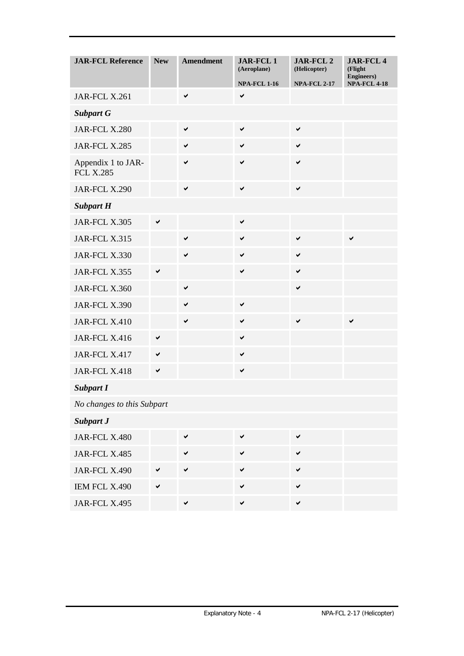| <b>JAR-FCL Reference</b>               | <b>New</b>   | <b>Amendment</b> | <b>JAR-FCL1</b><br>(Aeroplane)<br><b>NPA-FCL 1-16</b> | JAR-FCL 2<br>(Helicopter)<br><b>NPA-FCL 2-17</b> | <b>JAR-FCL4</b><br>(Flight<br><b>Engineers</b> )<br><b>NPA-FCL 4-18</b> |
|----------------------------------------|--------------|------------------|-------------------------------------------------------|--------------------------------------------------|-------------------------------------------------------------------------|
| JAR-FCL X.261                          |              | $\checkmark$     | ✔                                                     |                                                  |                                                                         |
| <b>Subpart G</b>                       |              |                  |                                                       |                                                  |                                                                         |
| JAR-FCL X.280                          |              | $\checkmark$     | $\checkmark$                                          | ✔                                                |                                                                         |
| JAR-FCL X.285                          |              | $\checkmark$     | $\checkmark$                                          | $\checkmark$                                     |                                                                         |
| Appendix 1 to JAR-<br><b>FCL X.285</b> |              | $\checkmark$     | $\checkmark$                                          | $\checkmark$                                     |                                                                         |
| JAR-FCL X.290                          |              | $\checkmark$     | $\checkmark$                                          | $\checkmark$                                     |                                                                         |
| <b>Subpart H</b>                       |              |                  |                                                       |                                                  |                                                                         |
| JAR-FCL X.305                          | $\checkmark$ |                  | $\checkmark$                                          |                                                  |                                                                         |
| JAR-FCL X.315                          |              | $\checkmark$     | $\checkmark$                                          | ✔                                                | $\checkmark$                                                            |
| JAR-FCL X.330                          |              | $\checkmark$     | $\checkmark$                                          | ✔                                                |                                                                         |
| JAR-FCL X.355                          | ✔            |                  | ✔                                                     | ✔                                                |                                                                         |
| JAR-FCL X.360                          |              | $\checkmark$     |                                                       | ✔                                                |                                                                         |
| JAR-FCL X.390                          |              | $\checkmark$     | ✓                                                     |                                                  |                                                                         |
| JAR-FCL X.410                          |              | $\checkmark$     | $\checkmark$                                          | ✔                                                | ✔                                                                       |
| JAR-FCL X.416                          | ✔            |                  | $\checkmark$                                          |                                                  |                                                                         |
| JAR-FCL X.417                          | $\checkmark$ |                  | $\checkmark$                                          |                                                  |                                                                         |
| JAR-FCL X.418                          | ✔            |                  | $\checkmark$                                          |                                                  |                                                                         |
| <b>Subpart I</b>                       |              |                  |                                                       |                                                  |                                                                         |
| No changes to this Subpart             |              |                  |                                                       |                                                  |                                                                         |
| <b>Subpart J</b>                       |              |                  |                                                       |                                                  |                                                                         |
| JAR-FCL X.480                          |              | $\checkmark$     | $\checkmark$                                          | $\checkmark$                                     |                                                                         |
| JAR-FCL X.485                          |              | $\checkmark$     | $\checkmark$                                          | $\checkmark$                                     |                                                                         |
| JAR-FCL X.490                          | ✔            | $\checkmark$     | $\checkmark$                                          | $\checkmark$                                     |                                                                         |
| IEM FCL X.490                          | ✔            |                  | $\checkmark$                                          | ✔                                                |                                                                         |
| JAR-FCL X.495                          |              | $\checkmark$     | $\checkmark$                                          | ✔                                                |                                                                         |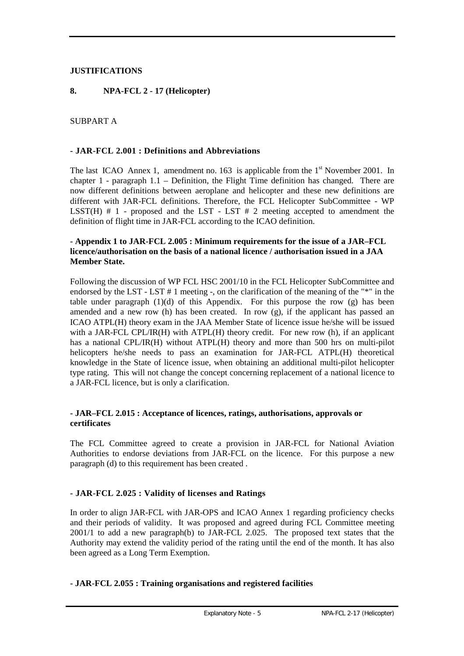# **JUSTIFICATIONS**

# **8. NPA-FCL 2 - 17 (Helicopter)**

# SUBPART A

### **- JAR-FCL 2.001 : Definitions and Abbreviations**

The last ICAO Annex 1, amendment no. 163 is applicable from the  $1<sup>st</sup>$  November 2001. In chapter 1 - paragraph 1.1 – Definition, the Flight Time definition has changed. There are now different definitions between aeroplane and helicopter and these new definitions are different with JAR-FCL definitions. Therefore, the FCL Helicopter SubCommittee - WP LSST(H)  $# 1$  - proposed and the LST - LST  $# 2$  meeting accepted to amendment the definition of flight time in JAR-FCL according to the ICAO definition.

# **- Appendix 1 to JAR-FCL 2.005 : Minimum requirements for the issue of a JAR–FCL licence/authorisation on the basis of a national licence / authorisation issued in a JAA Member State.**

Following the discussion of WP FCL HSC 2001/10 in the FCL Helicopter SubCommittee and endorsed by the LST - LST # 1 meeting -, on the clarification of the meaning of the "\*" in the table under paragraph  $(1)(d)$  of this Appendix. For this purpose the row  $(g)$  has been amended and a new row (h) has been created. In row (g), if the applicant has passed an ICAO ATPL(H) theory exam in the JAA Member State of licence issue he/she will be issued with a JAR-FCL CPL/IR(H) with ATPL(H) theory credit. For new row (h), if an applicant has a national CPL/IR(H) without ATPL(H) theory and more than 500 hrs on multi-pilot helicopters he/she needs to pass an examination for JAR-FCL ATPL(H) theoretical knowledge in the State of licence issue, when obtaining an additional multi-pilot helicopter type rating. This will not change the concept concerning replacement of a national licence to a JAR-FCL licence, but is only a clarification.

# **- JAR–FCL 2.015 : Acceptance of licences, ratings, authorisations, approvals or certificates**

The FCL Committee agreed to create a provision in JAR-FCL for National Aviation Authorities to endorse deviations from JAR-FCL on the licence. For this purpose a new paragraph (d) to this requirement has been created .

# **- JAR-FCL 2.025 : Validity of licenses and Ratings**

In order to align JAR-FCL with JAR-OPS and ICAO Annex 1 regarding proficiency checks and their periods of validity. It was proposed and agreed during FCL Committee meeting 2001/1 to add a new paragraph(b) to JAR-FCL 2.025. The proposed text states that the Authority may extend the validity period of the rating until the end of the month. It has also been agreed as a Long Term Exemption.

# **- JAR-FCL 2.055 : Training organisations and registered facilities**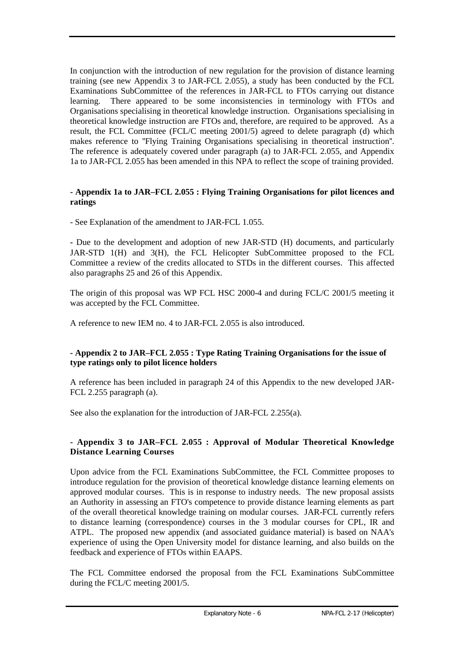In conjunction with the introduction of new regulation for the provision of distance learning training (see new Appendix 3 to JAR-FCL 2.055), a study has been conducted by the FCL Examinations SubCommittee of the references in JAR-FCL to FTOs carrying out distance learning. There appeared to be some inconsistencies in terminology with FTOs and Organisations specialising in theoretical knowledge instruction. Organisations specialising in theoretical knowledge instruction are FTOs and, therefore, are required to be approved. As a result, the FCL Committee (FCL/C meeting 2001/5) agreed to delete paragraph (d) which makes reference to ''Flying Training Organisations specialising in theoretical instruction''. The reference is adequately covered under paragraph (a) to JAR-FCL 2.055, and Appendix 1a to JAR-FCL 2.055 has been amended in this NPA to reflect the scope of training provided.

# **- Appendix 1a to JAR–FCL 2.055 : Flying Training Organisations for pilot licences and ratings**

- See Explanation of the amendment to JAR-FCL 1.055.

**-** Due to the development and adoption of new JAR-STD (H) documents, and particularly JAR-STD 1(H) and 3(H), the FCL Helicopter SubCommittee proposed to the FCL Committee a review of the credits allocated to STDs in the different courses. This affected also paragraphs 25 and 26 of this Appendix.

The origin of this proposal was WP FCL HSC 2000-4 and during FCL/C 2001/5 meeting it was accepted by the FCL Committee.

A reference to new IEM no. 4 to JAR-FCL 2.055 is also introduced.

# **- Appendix 2 to JAR–FCL 2.055 : Type Rating Training Organisations for the issue of type ratings only to pilot licence holders**

A reference has been included in paragraph 24 of this Appendix to the new developed JAR-FCL 2.255 paragraph (a).

See also the explanation for the introduction of JAR-FCL 2.255(a).

# **- Appendix 3 to JAR–FCL 2.055 : Approval of Modular Theoretical Knowledge Distance Learning Courses**

Upon advice from the FCL Examinations SubCommittee, the FCL Committee proposes to introduce regulation for the provision of theoretical knowledge distance learning elements on approved modular courses. This is in response to industry needs. The new proposal assists an Authority in assessing an FTO's competence to provide distance learning elements as part of the overall theoretical knowledge training on modular courses. JAR-FCL currently refers to distance learning (correspondence) courses in the 3 modular courses for CPL, IR and ATPL. The proposed new appendix (and associated guidance material) is based on NAA's experience of using the Open University model for distance learning, and also builds on the feedback and experience of FTOs within EAAPS.

The FCL Committee endorsed the proposal from the FCL Examinations SubCommittee during the FCL/C meeting 2001/5.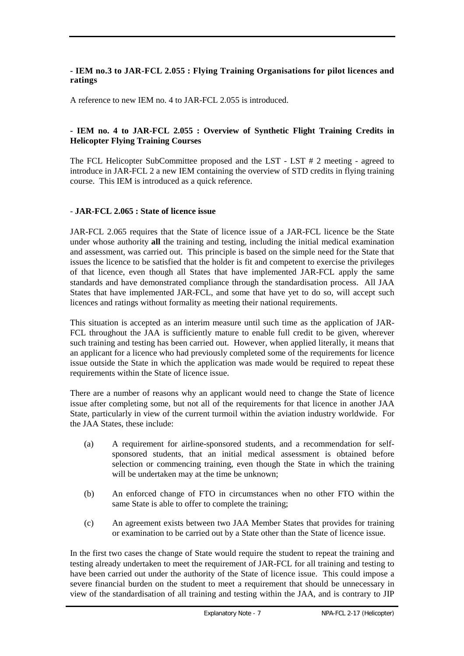# **- IEM no.3 to JAR-FCL 2.055 : Flying Training Organisations for pilot licences and ratings**

A reference to new IEM no. 4 to JAR-FCL 2.055 is introduced.

# **- IEM no. 4 to JAR-FCL 2.055 : Overview of Synthetic Flight Training Credits in Helicopter Flying Training Courses**

The FCL Helicopter SubCommittee proposed and the LST - LST # 2 meeting - agreed to introduce in JAR-FCL 2 a new IEM containing the overview of STD credits in flying training course. This IEM is introduced as a quick reference.

# - **JAR-FCL 2.065 : State of licence issue**

JAR-FCL 2.065 requires that the State of licence issue of a JAR-FCL licence be the State under whose authority **all** the training and testing, including the initial medical examination and assessment, was carried out. This principle is based on the simple need for the State that issues the licence to be satisfied that the holder is fit and competent to exercise the privileges of that licence, even though all States that have implemented JAR-FCL apply the same standards and have demonstrated compliance through the standardisation process. All JAA States that have implemented JAR-FCL, and some that have yet to do so, will accept such licences and ratings without formality as meeting their national requirements.

This situation is accepted as an interim measure until such time as the application of JAR-FCL throughout the JAA is sufficiently mature to enable full credit to be given, wherever such training and testing has been carried out. However, when applied literally, it means that an applicant for a licence who had previously completed some of the requirements for licence issue outside the State in which the application was made would be required to repeat these requirements within the State of licence issue.

There are a number of reasons why an applicant would need to change the State of licence issue after completing some, but not all of the requirements for that licence in another JAA State, particularly in view of the current turmoil within the aviation industry worldwide. For the JAA States, these include:

- (a) A requirement for airline-sponsored students, and a recommendation for selfsponsored students, that an initial medical assessment is obtained before selection or commencing training, even though the State in which the training will be undertaken may at the time be unknown;
- (b) An enforced change of FTO in circumstances when no other FTO within the same State is able to offer to complete the training;
- (c) An agreement exists between two JAA Member States that provides for training or examination to be carried out by a State other than the State of licence issue.

In the first two cases the change of State would require the student to repeat the training and testing already undertaken to meet the requirement of JAR-FCL for all training and testing to have been carried out under the authority of the State of licence issue. This could impose a severe financial burden on the student to meet a requirement that should be unnecessary in view of the standardisation of all training and testing within the JAA, and is contrary to JIP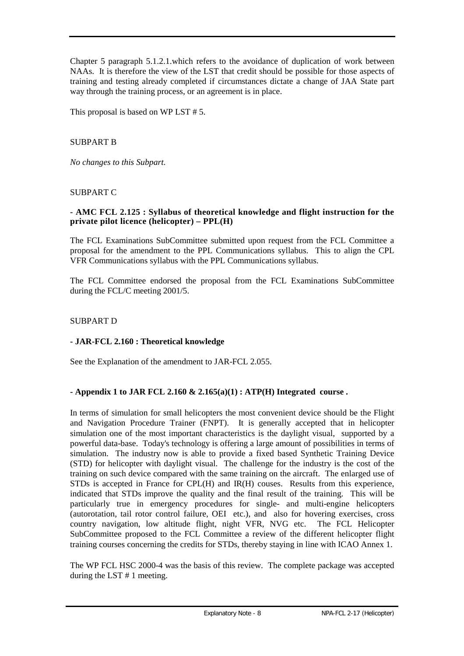Chapter 5 paragraph 5.1.2.1.which refers to the avoidance of duplication of work between NAAs. It is therefore the view of the LST that credit should be possible for those aspects of training and testing already completed if circumstances dictate a change of JAA State part way through the training process, or an agreement is in place.

This proposal is based on WP LST # 5.

# SUBPART B

*No changes to this Subpart.*

# SUBPART C

# **- AMC FCL 2.125 : Syllabus of theoretical knowledge and flight instruction for the private pilot licence (helicopter) – PPL(H)**

The FCL Examinations SubCommittee submitted upon request from the FCL Committee a proposal for the amendment to the PPL Communications syllabus. This to align the CPL VFR Communications syllabus with the PPL Communications syllabus.

The FCL Committee endorsed the proposal from the FCL Examinations SubCommittee during the FCL/C meeting 2001/5.

# SUBPART D

#### **- JAR-FCL 2.160 : Theoretical knowledge**

See the Explanation of the amendment to JAR-FCL 2.055.

# **- Appendix 1 to JAR FCL 2.160 & 2.165(a)(1) : ATP(H) Integrated course .**

In terms of simulation for small helicopters the most convenient device should be the Flight and Navigation Procedure Trainer (FNPT). It is generally accepted that in helicopter simulation one of the most important characteristics is the daylight visual, supported by a powerful data-base. Today's technology is offering a large amount of possibilities in terms of simulation. The industry now is able to provide a fixed based Synthetic Training Device (STD) for helicopter with daylight visual. The challenge for the industry is the cost of the training on such device compared with the same training on the aircraft. The enlarged use of STDs is accepted in France for CPL(H) and IR(H) couses. Results from this experience, indicated that STDs improve the quality and the final result of the training. This will be particularly true in emergency procedures for single- and multi-engine helicopters (autorotation, tail rotor control failure, OEI etc.), and also for hovering exercises, cross country navigation, low altitude flight, night VFR, NVG etc. The FCL Helicopter SubCommittee proposed to the FCL Committee a review of the different helicopter flight training courses concerning the credits for STDs, thereby staying in line with ICAO Annex 1.

The WP FCL HSC 2000-4 was the basis of this review. The complete package was accepted during the LST # 1 meeting.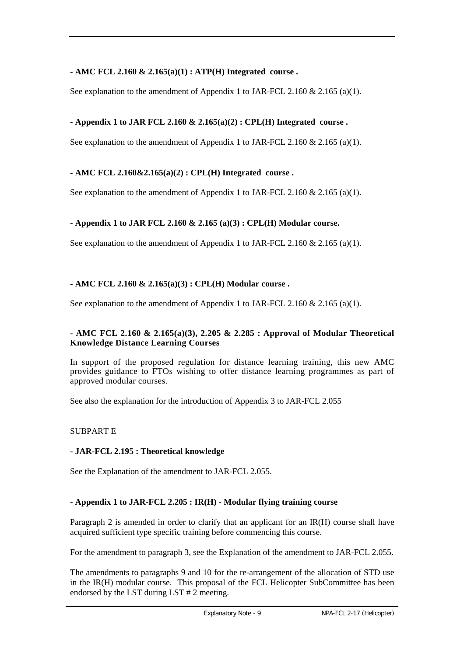# **- AMC FCL 2.160 & 2.165(a)(1) : ATP(H) Integrated course .**

See explanation to the amendment of Appendix 1 to JAR-FCL 2.160 & 2.165 (a)(1).

# **- Appendix 1 to JAR FCL 2.160 & 2.165(a)(2) : CPL(H) Integrated course .**

See explanation to the amendment of Appendix 1 to JAR-FCL 2.160 & 2.165 (a)(1).

# **- AMC FCL 2.160&2.165(a)(2) : CPL(H) Integrated course .**

See explanation to the amendment of Appendix 1 to JAR-FCL 2.160  $\&$  2.165 (a)(1).

# **- Appendix 1 to JAR FCL 2.160 & 2.165 (a)(3) : CPL(H) Modular course.**

See explanation to the amendment of Appendix 1 to JAR-FCL 2.160  $& 2.165$  (a)(1).

# **- AMC FCL 2.160 & 2.165(a)(3) : CPL(H) Modular course .**

See explanation to the amendment of Appendix 1 to JAR-FCL 2.160  $\&$  2.165 (a)(1).

# **- AMC FCL 2.160 & 2.165(a)(3), 2.205 & 2.285 : Approval of Modular Theoretical Knowledge Distance Learning Courses**

In support of the proposed regulation for distance learning training, this new AMC provides guidance to FTOs wishing to offer distance learning programmes as part of approved modular courses.

See also the explanation for the introduction of Appendix 3 to JAR-FCL 2.055

# SUBPART E

# **- JAR-FCL 2.195 : Theoretical knowledge**

See the Explanation of the amendment to JAR-FCL 2.055.

# **- Appendix 1 to JAR-FCL 2.205 : IR(H) - Modular flying training course**

Paragraph 2 is amended in order to clarify that an applicant for an IR(H) course shall have acquired sufficient type specific training before commencing this course.

For the amendment to paragraph 3, see the Explanation of the amendment to JAR-FCL 2.055.

The amendments to paragraphs 9 and 10 for the re-arrangement of the allocation of STD use in the IR(H) modular course. This proposal of the FCL Helicopter SubCommittee has been endorsed by the LST during LST # 2 meeting.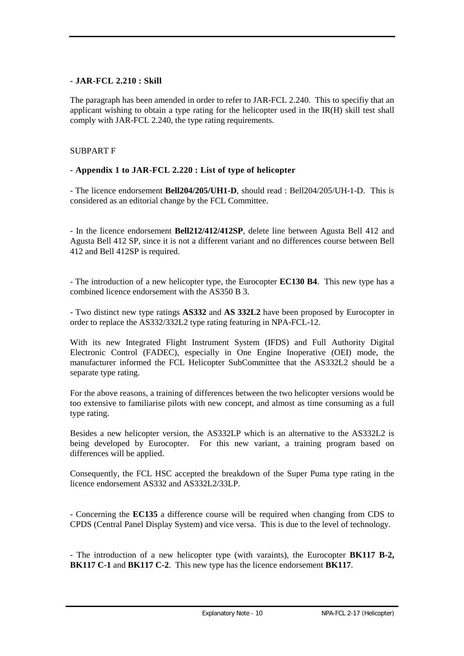# **- JAR-FCL 2.210 : Skill**

The paragraph has been amended in order to refer to JAR-FCL 2.240. This to specifiy that an applicant wishing to obtain a type rating for the helicopter used in the IR(H) skill test shall comply with JAR-FCL 2.240, the type rating requirements.

# SUBPART F

# **- Appendix 1 to JAR-FCL 2.220 : List of type of helicopter**

- The licence endorsement **Bell204/205/UH1-D**, should read : Bell204/205/UH-1-D. This is considered as an editorial change by the FCL Committee.

- In the licence endorsement **Bell212/412/412SP**, delete line between Agusta Bell 412 and Agusta Bell 412 SP, since it is not a different variant and no differences course between Bell 412 and Bell 412SP is required.

- The introduction of a new helicopter type, the Eurocopter **EC130 B4**. This new type has a combined licence endorsement with the AS350 B 3.

- Two distinct new type ratings **AS332** and **AS 332L2** have been proposed by Eurocopter in order to replace the AS332/332L2 type rating featuring in NPA-FCL-12.

With its new Integrated Flight Instrument System (IFDS) and Full Authority Digital Electronic Control (FADEC), especially in One Engine Inoperative (OEI) mode, the manufacturer informed the FCL Helicopter SubCommittee that the AS332L2 should be a separate type rating.

For the above reasons, a training of differences between the two helicopter versions would be too extensive to familiarise pilots with new concept, and almost as time consuming as a full type rating.

Besides a new helicopter version, the AS332LP which is an alternative to the AS332L2 is being developed by Eurocopter. For this new variant, a training program based on differences will be applied.

Consequently, the FCL HSC accepted the breakdown of the Super Puma type rating in the licence endorsement AS332 and AS332L2/33LP

- Concerning the **EC135** a difference course will be required when changing from CDS to CPDS (Central Panel Display System) and vice versa. This is due to the level of technology.

- The introduction of a new helicopter type (with varaints), the Eurocopter **BK117 B-2, BK117 C-1** and **BK117 C-2**. This new type has the licence endorsement **BK117**.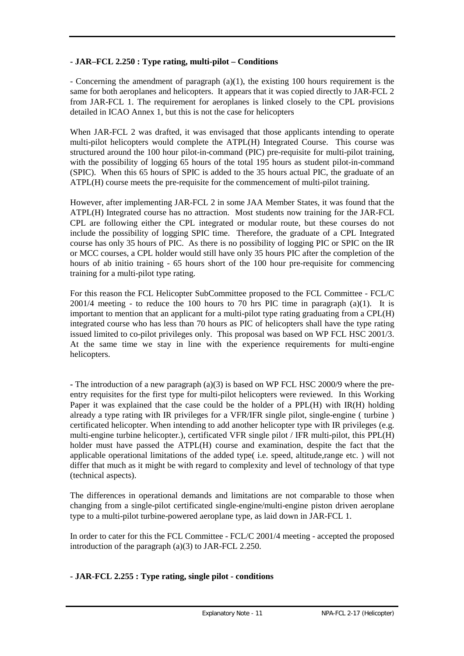# **- JAR–FCL 2.250 : Type rating, multi-pilot – Conditions**

- Concerning the amendment of paragraph (a)(1), the existing 100 hours requirement is the same for both aeroplanes and helicopters. It appears that it was copied directly to JAR-FCL 2 from JAR-FCL 1. The requirement for aeroplanes is linked closely to the CPL provisions detailed in ICAO Annex 1, but this is not the case for helicopters

When JAR-FCL 2 was drafted, it was envisaged that those applicants intending to operate multi-pilot helicopters would complete the ATPL(H) Integrated Course. This course was structured around the 100 hour pilot-in-command (PIC) pre-requisite for multi-pilot training, with the possibility of logging 65 hours of the total 195 hours as student pilot-in-command (SPIC). When this 65 hours of SPIC is added to the 35 hours actual PIC, the graduate of an ATPL(H) course meets the pre-requisite for the commencement of multi-pilot training.

However, after implementing JAR-FCL 2 in some JAA Member States, it was found that the ATPL(H) Integrated course has no attraction. Most students now training for the JAR-FCL CPL are following either the CPL integrated or modular route, but these courses do not include the possibility of logging SPIC time. Therefore, the graduate of a CPL Integrated course has only 35 hours of PIC. As there is no possibility of logging PIC or SPIC on the IR or MCC courses, a CPL holder would still have only 35 hours PIC after the completion of the hours of ab initio training - 65 hours short of the 100 hour pre-requisite for commencing training for a multi-pilot type rating.

For this reason the FCL Helicopter SubCommittee proposed to the FCL Committee - FCL/C  $2001/4$  meeting - to reduce the 100 hours to 70 hrs PIC time in paragraph (a)(1). It is important to mention that an applicant for a multi-pilot type rating graduating from a CPL(H) integrated course who has less than 70 hours as PIC of helicopters shall have the type rating issued limited to co-pilot privileges only. This proposal was based on WP FCL HSC 2001/3. At the same time we stay in line with the experience requirements for multi-engine helicopters.

**-** The introduction of a new paragraph (a)(3) is based on WP FCL HSC 2000/9 where the preentry requisites for the first type for multi-pilot helicopters were reviewed. In this Working Paper it was explained that the case could be the holder of a PPL(H) with IR(H) holding already a type rating with IR privileges for a VFR/IFR single pilot, single-engine ( turbine ) certificated helicopter. When intending to add another helicopter type with IR privileges (e.g. multi-engine turbine helicopter.), certificated VFR single pilot / IFR multi-pilot, this PPL(H) holder must have passed the ATPL(H) course and examination, despite the fact that the applicable operational limitations of the added type( i.e. speed, altitude,range etc. ) will not differ that much as it might be with regard to complexity and level of technology of that type (technical aspects).

The differences in operational demands and limitations are not comparable to those when changing from a single-pilot certificated single-engine/multi-engine piston driven aeroplane type to a multi-pilot turbine-powered aeroplane type, as laid down in JAR-FCL 1.

In order to cater for this the FCL Committee - FCL/C 2001/4 meeting - accepted the proposed introduction of the paragraph (a)(3) to JAR-FCL 2.250.

# **- JAR-FCL 2.255 : Type rating, single pilot - conditions**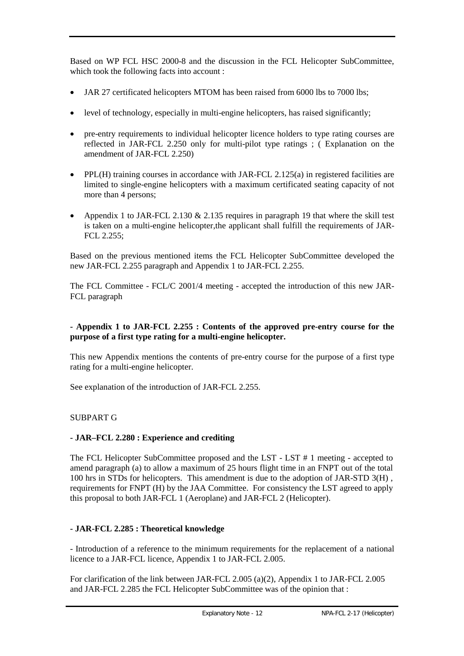Based on WP FCL HSC 2000-8 and the discussion in the FCL Helicopter SubCommittee, which took the following facts into account :

- JAR 27 certificated helicopters MTOM has been raised from 6000 lbs to 7000 lbs;
- ! level of technology, especially in multi-engine helicopters, has raised significantly;
- ! pre-entry requirements to individual helicopter licence holders to type rating courses are reflected in JAR-FCL 2.250 only for multi-pilot type ratings ; ( Explanation on the amendment of JAR-FCL 2.250)
- $\bullet$  PPL(H) training courses in accordance with JAR-FCL 2.125(a) in registered facilities are limited to single-engine helicopters with a maximum certificated seating capacity of not more than 4 persons;
- Appendix 1 to JAR-FCL 2.130  $& 2.135$  requires in paragraph 19 that where the skill test is taken on a multi-engine helicopter,the applicant shall fulfill the requirements of JAR-FCL 2.255;

Based on the previous mentioned items the FCL Helicopter SubCommittee developed the new JAR-FCL 2.255 paragraph and Appendix 1 to JAR-FCL 2.255.

The FCL Committee - FCL/C 2001/4 meeting - accepted the introduction of this new JAR-FCL paragraph

# **- Appendix 1 to JAR-FCL 2.255 : Contents of the approved pre-entry course for the purpose of a first type rating for a multi-engine helicopter.**

This new Appendix mentions the contents of pre-entry course for the purpose of a first type rating for a multi-engine helicopter.

See explanation of the introduction of JAR-FCL 2.255.

# SUBPART G

# **- JAR–FCL 2.280 : Experience and crediting**

The FCL Helicopter SubCommittee proposed and the LST - LST # 1 meeting - accepted to amend paragraph (a) to allow a maximum of 25 hours flight time in an FNPT out of the total 100 hrs in STDs for helicopters. This amendment is due to the adoption of JAR-STD 3(H) , requirements for FNPT (H) by the JAA Committee. For consistency the LST agreed to apply this proposal to both JAR-FCL 1 (Aeroplane) and JAR-FCL 2 (Helicopter).

# **- JAR-FCL 2.285 : Theoretical knowledge**

- Introduction of a reference to the minimum requirements for the replacement of a national licence to a JAR-FCL licence, Appendix 1 to JAR-FCL 2.005.

For clarification of the link between JAR-FCL 2.005 (a)(2), Appendix 1 to JAR-FCL 2.005 and JAR-FCL 2.285 the FCL Helicopter SubCommittee was of the opinion that :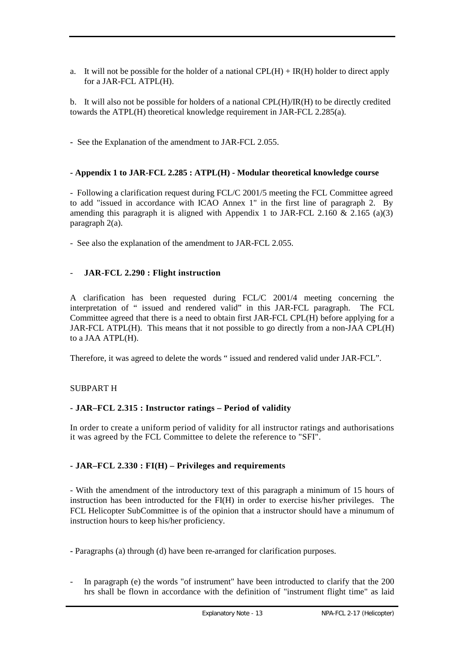a. It will not be possible for the holder of a national  $CPL(H) + IR(H)$  holder to direct apply for a JAR-FCL ATPL(H).

b. It will also not be possible for holders of a national CPL(H)/IR(H) to be directly credited towards the ATPL(H) theoretical knowledge requirement in JAR-FCL 2.285(a).

**-** See the Explanation of the amendment to JAR-FCL 2.055.

# **- Appendix 1 to JAR-FCL 2.285 : ATPL(H) - Modular theoretical knowledge course**

- Following a clarification request during FCL/C 2001/5 meeting the FCL Committee agreed to add "issued in accordance with ICAO Annex 1" in the first line of paragraph 2. By amending this paragraph it is aligned with Appendix 1 to JAR-FCL 2.160  $& 2.165 \text{ (a)}(3)$ paragraph 2(a).

- See also the explanation of the amendment to JAR-FCL 2.055.

# - **JAR-FCL 2.290 : Flight instruction**

A clarification has been requested during FCL/C 2001/4 meeting concerning the interpretation of " issued and rendered valid" in this JAR-FCL paragraph. The FCL Committee agreed that there is a need to obtain first JAR-FCL CPL(H) before applying for a JAR-FCL ATPL(H). This means that it not possible to go directly from a non-JAA CPL(H) to a JAA ATPL(H).

Therefore, it was agreed to delete the words " issued and rendered valid under JAR-FCL".

# SUBPART H

# **- JAR–FCL 2.315 : Instructor ratings – Period of validity**

In order to create a uniform period of validity for all instructor ratings and authorisations it was agreed by the FCL Committee to delete the reference to "SFI".

# **- JAR–FCL 2.330 : FI(H) – Privileges and requirements**

- With the amendment of the introductory text of this paragraph a minimum of 15 hours of instruction has been introducted for the FI(H) in order to exercise his/her privileges. The FCL Helicopter SubCommittee is of the opinion that a instructor should have a minumum of instruction hours to keep his/her proficiency.

**-** Paragraphs (a) through (d) have been re-arranged for clarification purposes.

- In paragraph (e) the words "of instrument" have been introducted to clarify that the 200 hrs shall be flown in accordance with the definition of "instrument flight time" as laid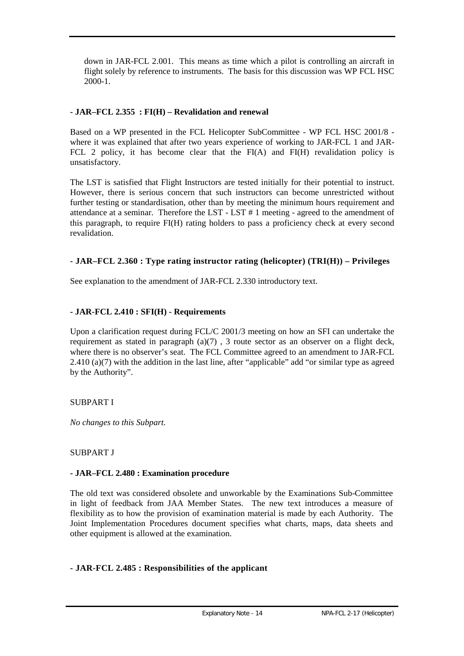down in JAR-FCL 2.001. This means as time which a pilot is controlling an aircraft in flight solely by reference to instruments. The basis for this discussion was WP FCL HSC 2000-1.

# **- JAR–FCL 2.355 : FI(H) – Revalidation and renewal**

Based on a WP presented in the FCL Helicopter SubCommittee - WP FCL HSC 2001/8 where it was explained that after two years experience of working to JAR-FCL 1 and JAR-FCL 2 policy, it has become clear that the FI(A) and FI(H) revalidation policy is unsatisfactory.

The LST is satisfied that Flight Instructors are tested initially for their potential to instruct. However, there is serious concern that such instructors can become unrestricted without further testing or standardisation, other than by meeting the minimum hours requirement and attendance at a seminar. Therefore the LST - LST # 1 meeting - agreed to the amendment of this paragraph, to require FI(H) rating holders to pass a proficiency check at every second revalidation.

# **- JAR–FCL 2.360 : Type rating instructor rating (helicopter) (TRI(H)) – Privileges**

See explanation to the amendment of JAR-FCL 2.330 introductory text.

# **- JAR-FCL 2.410 : SFI(H) - Requirements**

Upon a clarification request during FCL/C 2001/3 meeting on how an SFI can undertake the requirement as stated in paragraph (a)(7) , 3 route sector as an observer on a flight deck, where there is no observer's seat. The FCL Committee agreed to an amendment to JAR-FCL 2.410 (a)(7) with the addition in the last line, after "applicable" add "or similar type as agreed by the Authority".

# SUBPART I

*No changes to this Subpart.*

# SUBPART J

# **- JAR–FCL 2.480 : Examination procedure**

The old text was considered obsolete and unworkable by the Examinations Sub-Committee in light of feedback from JAA Member States. The new text introduces a measure of flexibility as to how the provision of examination material is made by each Authority. The Joint Implementation Procedures document specifies what charts, maps, data sheets and other equipment is allowed at the examination.

# **- JAR-FCL 2.485 : Responsibilities of the applicant**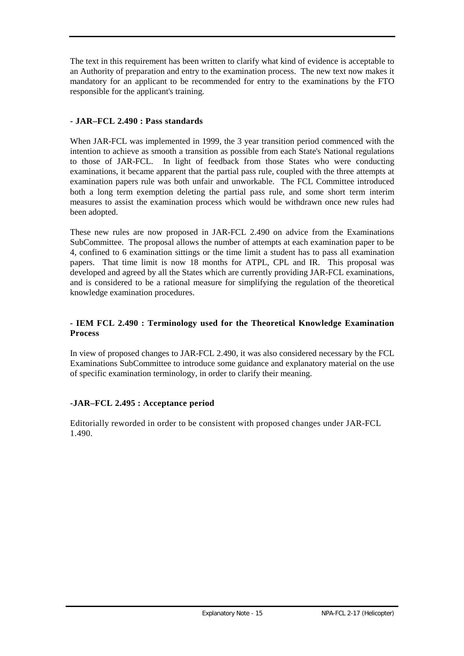The text in this requirement has been written to clarify what kind of evidence is acceptable to an Authority of preparation and entry to the examination process. The new text now makes it mandatory for an applicant to be recommended for entry to the examinations by the FTO responsible for the applicant's training.

# **- JAR–FCL 2.490 : Pass standards**

When JAR-FCL was implemented in 1999, the 3 year transition period commenced with the intention to achieve as smooth a transition as possible from each State's National regulations to those of JAR-FCL. In light of feedback from those States who were conducting examinations, it became apparent that the partial pass rule, coupled with the three attempts at examination papers rule was both unfair and unworkable. The FCL Committee introduced both a long term exemption deleting the partial pass rule, and some short term interim measures to assist the examination process which would be withdrawn once new rules had been adopted.

These new rules are now proposed in JAR-FCL 2.490 on advice from the Examinations SubCommittee. The proposal allows the number of attempts at each examination paper to be 4, confined to 6 examination sittings or the time limit a student has to pass all examination papers. That time limit is now 18 months for ATPL, CPL and IR. This proposal was developed and agreed by all the States which are currently providing JAR-FCL examinations, and is considered to be a rational measure for simplifying the regulation of the theoretical knowledge examination procedures.

# **- IEM FCL 2.490 : Terminology used for the Theoretical Knowledge Examination Process**

In view of proposed changes to JAR-FCL 2.490, it was also considered necessary by the FCL Examinations SubCommittee to introduce some guidance and explanatory material on the use of specific examination terminology, in order to clarify their meaning.

# **-JAR–FCL 2.495 : Acceptance period**

Editorially reworded in order to be consistent with proposed changes under JAR-FCL 1.490.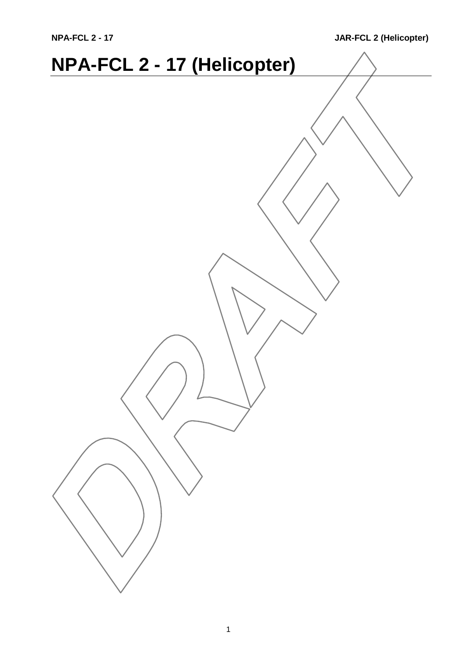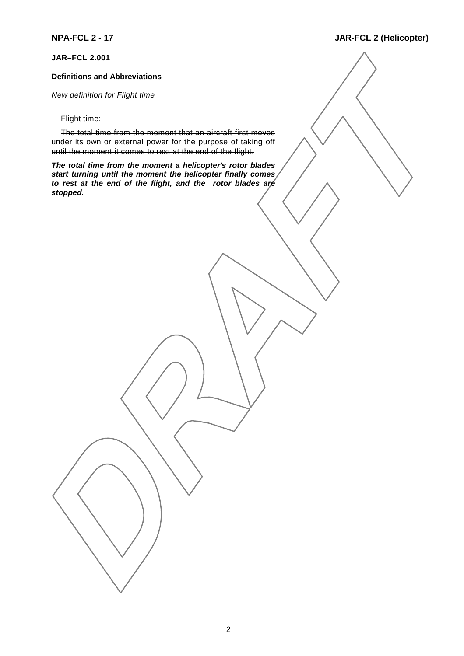**JAR–FCL 2.001**

#### **Definitions and Abbreviations**

*New definition for Flight time*

Flight time:

The total time from the moment that an aircraft first moves under its own or external power for the purpose of taking off until the moment it comes to rest at the end of the flight.

*The total time from the moment a helicopter's rotor blades start turning until the moment the helicopter finally comes to rest at the end of the flight, and the rotor blades are stopped.*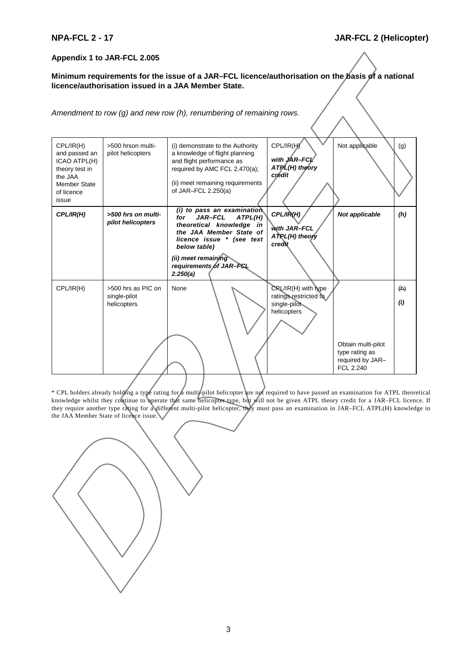#### **Appendix 1 to JAR-FCL 2.005**

**Minimum requirements for the issue of a JAR–FCL licence/authorisation on the basis of a national licence/authorisation issued in a JAA Member State.**

*Amendment to row (g) and new row (h), renumbering of remaining rows.*

| CPL/IR(H)<br>and passed an<br>ICAO ATPL(H)<br>theory test in<br>the JAA<br><b>Member State</b><br>of licence<br>issue | >500 hrson multi-<br>pilot helicopters            | (i) demonstrate to the Authority<br>a knowledge of flight planning<br>and flight performance as<br>required by AMC FCL 2.470(a);<br>(ii) meet remaining requirements<br>of JAR-FCL $2.250(a)$                                      | CPL/IR(H)<br>with JAR-FCL<br>ATPL(H) theory<br>crédit                         | Not applicable                                                        | (g)        |
|-----------------------------------------------------------------------------------------------------------------------|---------------------------------------------------|------------------------------------------------------------------------------------------------------------------------------------------------------------------------------------------------------------------------------------|-------------------------------------------------------------------------------|-----------------------------------------------------------------------|------------|
| CPL/IR(H)                                                                                                             | >500 hrs on multi-<br>pilot helicopters           | $(i)$ to pass an examination<br><b>JAR-FCL</b><br>ATPL(H)<br>for<br>theoretical knowledge in<br>the JAA Member State of<br>licence issue * (see text<br>below table)<br>(ii) meet remaining<br>requirements of JAR-FCL<br>2.250(a) | CPL/IR(H)<br>with JAR-FCL<br>ATRL(H) theory<br>credit                         | Not applicable                                                        | (h)        |
| CPL/IR(H)                                                                                                             | >500 hrs as PIC on<br>single-pilot<br>helicopters | None                                                                                                                                                                                                                               | $CRL/IR(H)$ with type<br>ratings restricted to<br>single-pilot<br>helicopters | Obtain multi-pilot<br>type rating as<br>required by JAR-<br>FCL 2.240 | (h)<br>(i) |

\* CPL holders already holding a type rating for a multi-pilot helicopter are not required to have passed an examination for ATPL theoretical knowledge whilst they continue to operate that same helicopter type, but will not be given ATPL theory credit for a JAR–FCL licence. If they require another type rating for a different multi-pilot helicopter, they must pass an examination in JAR–FCL ATPL(H) knowledge in the JAA Member State of licence issue.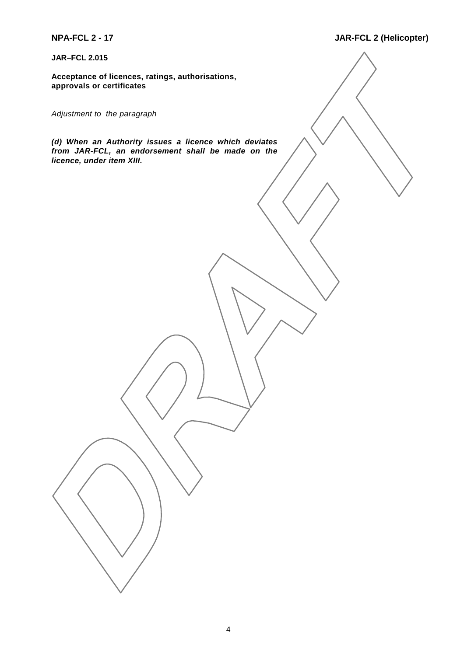**JAR–FCL 2.015**

**Acceptance of licences, ratings, authorisations, approvals or certificates**

*Adjustment to the paragraph*

*(d) When an Authority issues a licence which deviates from JAR-FCL, an endorsement shall be made on the licence, under item XIII.*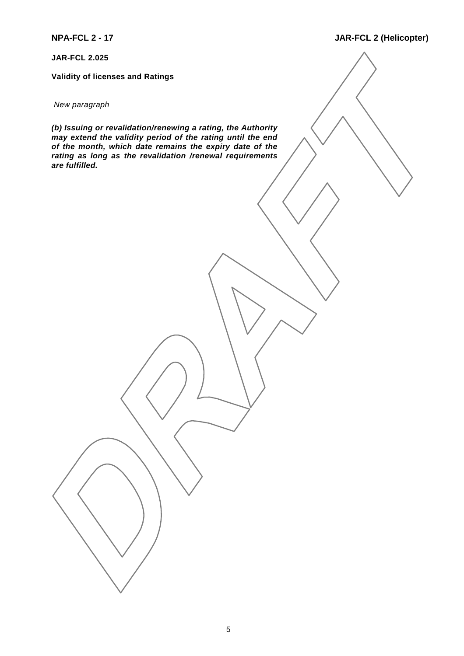**JAR-FCL 2.025**

**Validity of licenses and Ratings**

#### *New paragraph*

*(b) Issuing or revalidation/renewing a rating, the Authority may extend the validity period of the rating until the end of the month, which date remains the expiry date of the rating as long as the revalidation /renewal requirements are fulfilled.*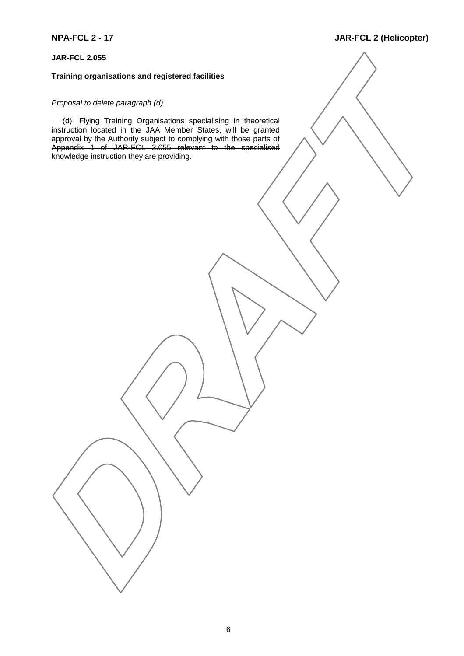### **JAR-FCL 2.055**

# **Training organisations and registered facilities**

#### *Proposal to delete paragraph (d)*

(d) Flying Training Organisations specialising in theoretical instruction located in the JAA Member States, will be granted approval by the Authority subject to complying with those parts of Appendix 1 of JAR-FCL 2.055 relevant to the specialised knowledge instruction they are providing.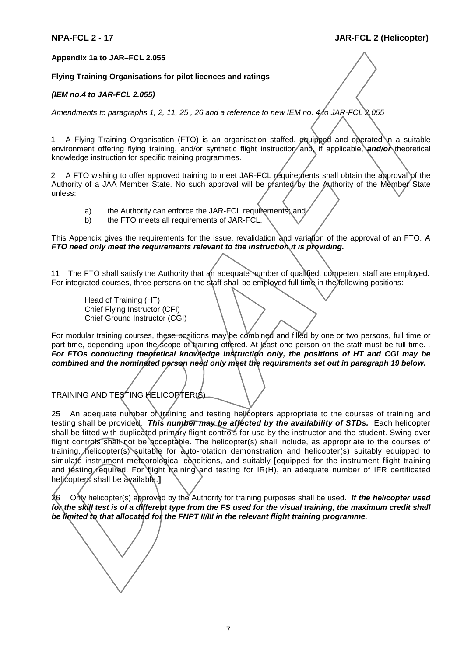#### **Appendix 1a to JAR–FCL 2.055**

#### **Flying Training Organisations for pilot licences and ratings**

#### *(IEM no.4 to JAR-FCL 2.055)*

*Amendments to paragraphs 1, 2, 11, 25 , 26 and a reference to new IEM no. 4 to JAR-FCL 2.055*

1 A Flying Training Organisation (FTO) is an organisation staffed, equipped and operated in a suitable environment offering flying training, and/or synthetic flight instruction and, if applicable, and/or theoretical knowledge instruction for specific training programmes.

2 A FTO wishing to offer approved training to meet JAR-FCL requirements shall obtain the approval of the Authority of a JAA Member State. No such approval will be granted by the Authority of the Member State unless:

- a) the Authority can enforce the JAR-FCL requirements, and
- b) the FTO meets all requirements of JAR-FCL.

This Appendix gives the requirements for the issue, revalidation and variation of the approval of an FTO. *A FTO need only meet the requirements relevant to the instruction it is providing.*

11 The FTO shall satisfy the Authority that an adequate number of qualified, competent staff are employed. For integrated courses, three persons on the staff shall be employed full time in the following positions:

Head of Training (HT) Chief Flying Instructor (CFI) Chief Ground Instructor (CGI)

For modular training courses, these positions may be combined and filled by one or two persons, full time or part time, depending upon the scope of training offered. At least one person on the staff must be full time. . *For FTOs conducting theoretical knowledge instruction only, the positions of HT and CGI may be combined and the nominated person need only meet the requirements set out in paragraph 19 below***.**

TRAINING AND TESTING HELICOPTER(S)

25 An adequate number of training and testing helicopters appropriate to the courses of training and testing shall be provided. This number may be affected by the availability of STDs. Each helicopter shall be fitted with duplicated primary flight controls for use by the instructor and the student. Swing-over flight controls shall not be acceptable. The helicopter(s) shall include, as appropriate to the courses of training, helicopter(s) suitable for auto-rotation demonstration and helicopter(s) suitably equipped to simulate instrument meteorological conditions, and suitably **[**equipped for the instrument flight training and testing required. For light training and testing for IR(H), an adequate number of IFR certificated helicopters shall be available.**]**

26 Only helicopter(s) approved by the Authority for training purposes shall be used. *If the helicopter used* for the skill test is of a different type from the FS used for the visual training, the maximum credit shall *be limited to that allocated for the FNPT II/III in the relevant flight training programme.*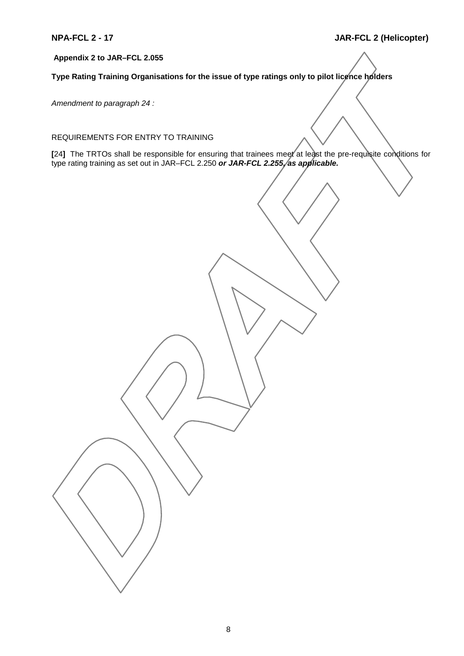# **Appendix 2 to JAR–FCL 2.055**

**Type Rating Training Organisations for the issue of type ratings only to pilot licence holders**

*Amendment to paragraph 24 :*

REQUIREMENTS FOR ENTRY TO TRAINING

**[**24**]** The TRTOs shall be responsible for ensuring that trainees meet at least the pre-requisite conditions for type rating training as set out in JAR–FCL 2.250 *or JAR-FCL 2.255, as applicable.*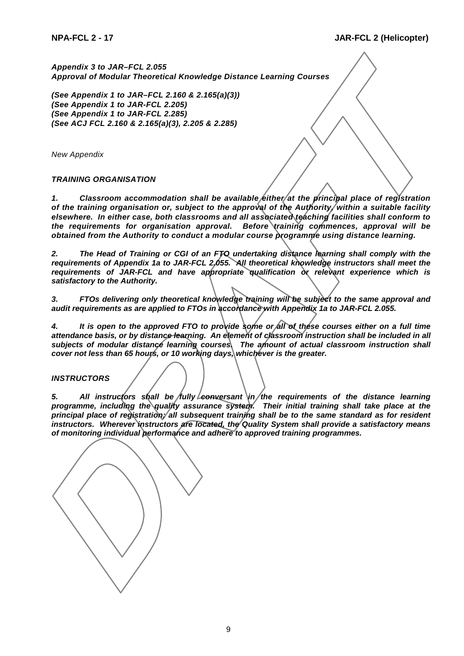*Appendix 3 to JAR–FCL 2.055 Approval of Modular Theoretical Knowledge Distance Learning Courses*

*(See Appendix 1 to JAR–FCL 2.160 & 2.165(a)(3)) (See Appendix 1 to JAR-FCL 2.205) (See Appendix 1 to JAR-FCL 2.285) (See ACJ FCL 2.160 & 2.165(a)(3), 2.205 & 2.285)*

*New Appendix*

#### *TRAINING ORGANISATION*

*1. Classroom accommodation shall be available either at the principal place of registration of the training organisation or, subject to the approval of the Authority, within a suitable facility elsewhere. In either case, both classrooms and all associated teaching facilities shall conform to the requirements for organisation approval. Before training commences, approval will be obtained from the Authority to conduct a modular course programme using distance learning.*

*2. The Head of Training or CGI of an FTO undertaking distance learning shall comply with the requirements of Appendix 1a to JAR-FCL 2.055. All theoretical knowledge instructors shall meet the requirements of JAR-FCL and have appropriate qualification or relevant experience which is satisfactory to the Authority.*

*3. FTOs delivering only theoretical knowledge training will be subject to the same approval and audit requirements as are applied to FTOs in accordance with Appendix 1a to JAR-FCL 2.055.*

*4. It is open to the approved FTO to provide some or all of these courses either on a full time attendance basis, or by distance learning. An element of classroom instruction shall be included in all* subjects of modular distance learning courses. The amount of actual classroom instruction shall *cover not less than 65 hours, or 10 working days, whichever is the greater.*

#### *INSTRUCTORS*

5. All instructors shall be fully conversant in the requirements of the distance learning *programme, including the quality assurance system. Their initial training shall take place at the principal place of registration; all subsequent training shall be to the same standard as for resident instructors. Wherever instructors are located, the Quality System shall provide a satisfactory means of monitoring individual performance and adhere to approved training programmes.*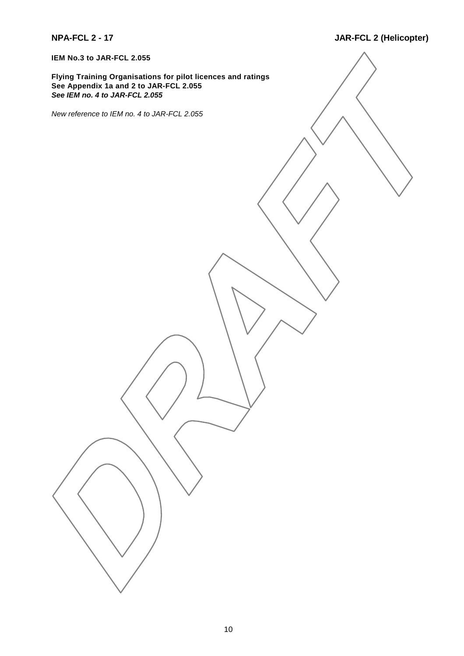**IEM No.3 to JAR-FCL 2.055**

**Flying Training Organisations for pilot licences and ratings See Appendix 1a and 2 to JAR-FCL 2.055** *See IEM no. 4 to JAR-FCL 2.055*

*New reference to IEM no. 4 to JAR-FCL 2.055*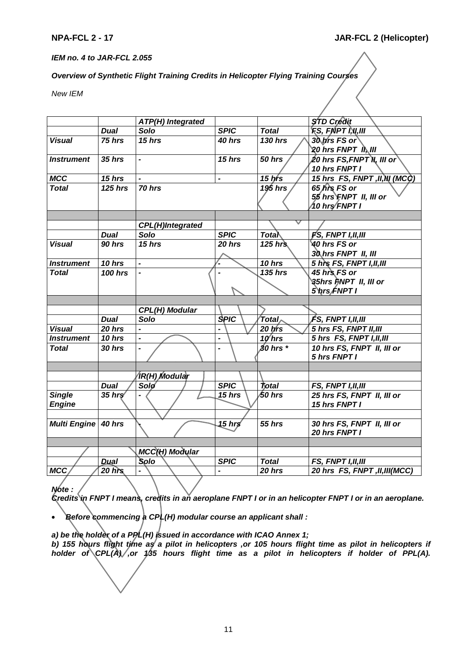#### *IEM no. 4 to JAR-FCL 2.055*

# *Overview of Synthetic Flight Training Credits in Helicopter Flying Training Courses*

*New IEM*

|                     |                         | <b>ATP(H) Integrated</b> |                |                                     | <b>STD Credit</b>                                    |
|---------------------|-------------------------|--------------------------|----------------|-------------------------------------|------------------------------------------------------|
|                     | <b>Dual</b>             | Solo                     | <b>SPIC</b>    | <b>Total</b>                        | <b>FS, FNPT I,W,III</b>                              |
| <b>Visual</b>       | 75 hrs                  | 15 hrs                   | 40 hrs         | 130 hrs                             | 30 hrs FS or                                         |
|                     |                         |                          |                |                                     | 20 hrs FNPT II, III                                  |
| <b>Instrument</b>   | $35$ hrs                |                          | 15 hrs         | <b>50 hrs</b>                       | 20 hrs FS,FNPT N, III or                             |
|                     |                         |                          |                |                                     | 10 hrs FNPT I                                        |
| <b>MCC</b>          | 15 hrs                  |                          |                | $15$ hrs                            | 15 hrs FS, FNPT, II, NI (MCC)                        |
| <b>Total</b>        | $125$ hrs               | 70 hrs                   |                | 195 hrs                             | 65 hrs FS or                                         |
|                     |                         |                          |                |                                     | 55 hrs FNPT II, III or                               |
|                     |                         |                          |                |                                     | ∕10 hrs∕ FNPT I                                      |
|                     |                         |                          |                |                                     |                                                      |
|                     |                         | <b>CPL(H)Integrated</b>  |                |                                     |                                                      |
|                     | <b>Dual</b>             | Solo                     | <b>SPIC</b>    | <b>Total</b>                        | FS, FNPT I,II,III                                    |
| <b>Visual</b>       | 90 hrs                  | 15 hrs                   | 20 hrs         | $\sqrt{125}$ hrs                    | <b>40 hrs FS or</b>                                  |
|                     |                         |                          |                |                                     | 30 hrs FNPT II, III                                  |
| <b>Instrument</b>   | 10 hrs                  | $\blacksquare$           |                | 10 hrs                              | 5 hrs FS, FNPT I, II, III                            |
| <b>Total</b>        | <b>100 hrs</b>          |                          |                | <b>135 hrs</b>                      | 45 hrs FS or                                         |
|                     |                         |                          |                |                                     | <b>३५hrs FNPT ॥, ॥। or</b>                           |
|                     |                         |                          |                |                                     | 5\prs/FNPT I                                         |
|                     |                         |                          |                |                                     |                                                      |
|                     |                         |                          |                |                                     |                                                      |
|                     |                         | <b>CPL(H) Modular</b>    |                |                                     |                                                      |
|                     | <b>Dual</b>             | Solo                     | <b>SPIC</b>    | $^\prime$ Total $_\curvearrowright$ | FS, FNPT I,II,III                                    |
| <b>Visual</b>       | 20 hrs                  |                          |                | $20$ hrs                            | 5 hrs FS, FNPT II, III                               |
| <b>Instrument</b>   | 10 hrs                  | $\blacksquare$           | $\overline{a}$ | $10$ hrs                            | 5 hrs FS, FNPT I, II, III                            |
| <b>Total</b>        | 30 hrs                  | $\overline{\phantom{a}}$ | $\blacksquare$ | $30$ hrs $*$                        | 10 hrs FS, FNPT II, III or                           |
|                     |                         |                          |                |                                     | 5 hrs FNPT I                                         |
|                     |                         |                          |                |                                     |                                                      |
|                     |                         | /IR(H) Modular           |                |                                     |                                                      |
|                     | <b>Dual</b>             | Solø                     | <b>SPIC</b>    | total                               | FS, FNPT I, II, III                                  |
| <b>Single</b>       | $35$ hrs                |                          | $15$ hrs       | /50 hrs                             | 25 hrs FS, FNPT II, III or                           |
| <b>Engine</b>       |                         |                          |                |                                     | 15 hrs FNPT I                                        |
|                     |                         |                          |                |                                     |                                                      |
| <b>Multi Engine</b> | 40 hrs                  |                          | 15 hrs         | <b>55 hrs</b>                       | 30 hrs FS, FNPT II, III or                           |
|                     |                         |                          |                |                                     | 20 hrs FNPT I                                        |
|                     |                         |                          |                |                                     |                                                      |
|                     |                         | MCC(H) Modular           |                |                                     |                                                      |
| <b>MCC</b>          | <b>Dual</b><br>$20$ hrs | Solo                     | <b>SPIC</b>    | <b>Total</b><br>20 hrs              | FS, FNPT I, II, III<br>20 hrs FS, FNPT, II, III(MCC) |

*Note : Credits in FNPT I means, credits in an aeroplane FNPT I or in an helicopter FNPT I or in an aeroplane.*

• *Before commencing a CPL(H) modular course an applicant shall :*

*a) be the holder of a PPL(H) issued in accordance with ICAO Annex 1; b) 155 hours flight time as a pilot in helicopters ,or 105 hours flight time as pilot in helicopters if holder of CPL(A) ,or 135 hours flight time as a pilot in helicopters if holder of PPL(A).*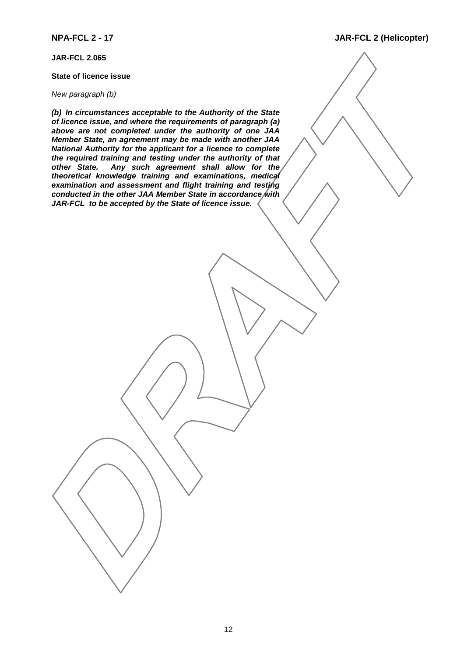**JAR-FCL 2.065**

#### **State of licence issue**

#### *New paragraph (b)*

*(b) In circumstances acceptable to the Authority of the State of licence issue, and where the requirements of paragraph (a) above are not completed under the authority of one JAA Member State, an agreement may be made with another JAA National Authority for the applicant for a licence to complete the required training and testing under the authority of that other State. Any such agreement shall allow for the theoretical knowledge training and examinations, medical examination and assessment and flight training and testing conducted in the other JAA Member State in accordance with JAR-FCL to be accepted by the State of licence issue.*

**NPA-FCL 2 - 17 JAR-FCL 2 (Helicopter)**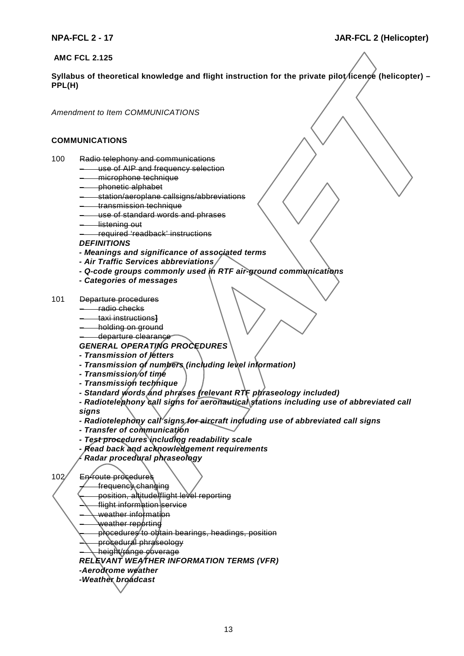**AMC FCL 2.125**

Syllabus of theoretical knowledge and flight instruction for the private pilot *l*icence (helicopter) – **PPL(H)**

*Amendment to Item COMMUNICATIONS*

#### **COMMUNICATIONS**

- 100 Radio telephony and communications
	- use of AIP and frequency selection
	- microphone technique
	- phonetic alphabet
	- station/aeroplane callsigns/abbreviations
	- transmission technique
	- use of standard words and phrases
	- listening out
	- required 'readback' instructions

*DEFINITIONS*

- *Meanings and significance of associated terms*
- *Air Traffic Services abbreviations*
- *Q-code groups commonly used in RTF air-ground communications*
- *Categories of messages*
- 101 Departure procedures
	- radio checks
	- taxi instructions**]**
	- holding on ground
	- departure clearance

# *GENERAL OPERATING PROCEDURES*

- *Transmission of letters*
- *Transmission of numbers (including level information)*
- *Transmission of time*
- *Transmission technique*
- *Standard words and phrases (relevant RTF phraseology included)*
- *Radiotelephony call signs for aeronautical stations including use of abbreviated call signs*
- *Radiotelephony call signs for aircraft including use of abbreviated call signs*
- *Transfer of communication*
- *Test procedures including readability scale*
- *Read back and acknowledgement requirements*
- *Radar procedural phraseology*

102 En-route procedures

- frequency changing
	- position, altitude/flight level reporting
- flight information service
- weather information
- weather reporting  $\,$
- procedures to obtain bearings, headings, position
- procedural phraseology
- height/range coverage
- *RELEVANT WEATHER INFORMATION TERMS (VFR)*
- *-Aerodrome weather*
- *-Weather broadcast*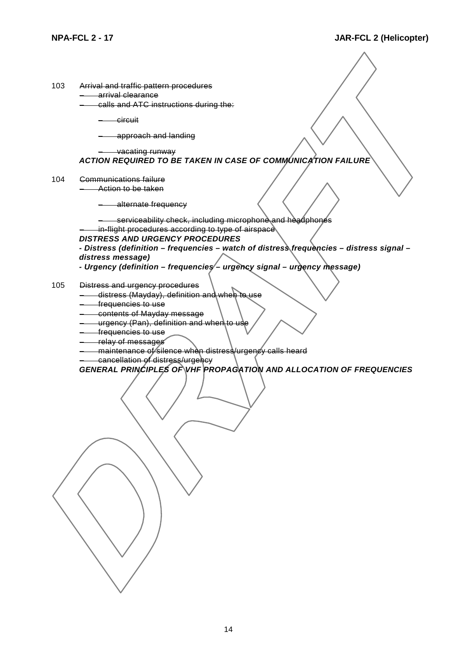| 103 | Arrival and traffic pattern procedures |
|-----|----------------------------------------|
|     | arrival clearance                      |
|     | calls and ATC instructions during the: |

– circuit

– approach and landing

#### – vacating runway *ACTION REQUIRED TO BE TAKEN IN CASE OF COMMUNICATION FAILURE*

104 Communications failure – Action to be taken

– alternate frequency

serviceability check, including microphone and headphones

in-flight procedures according to type of airspace

#### *DISTRESS AND URGENCY PROCEDURES*

*- Distress (definition – frequencies – watch of distress frequencies – distress signal – distress message)*

- *Urgency (definition frequencies urgency signal urgency message)*
- 105 Distress and urgency procedures
	- distress (Mayday), definition and when to use
	- frequencies to use
	- contents of Mayday message
	- $-$  urgency (Pan), definition and when to
	- frequencies to use
	- relay of messages
	- maintenance of silence when distress/urgency calls heard
	- cancellation of distress/urgency

*GENERAL PRINCIPLES OF VHF PROPAGATION AND ALLOCATION OF FREQUENCIES*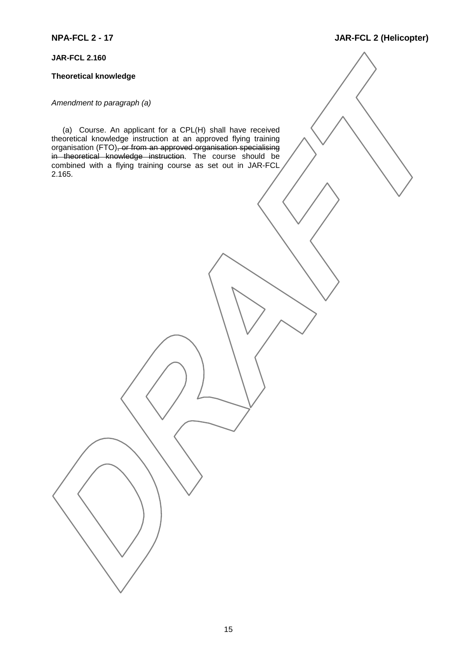### **JAR-FCL 2.160**

#### **Theoretical knowledge**

#### *Amendment to paragraph (a)*

(a) Course. An applicant for a CPL(H) shall have received theoretical knowledge instruction at an approved flying training organisation (FTO)<del>, or from an approved organisation specialising</del> i<del>n theoretical knowledge instruction</del>. The course should be combined with a flying training course as set out in JAR-FCL 2.165.

# **NPA-FCL 2 - 17 JAR-FCL 2 (Helicopter)**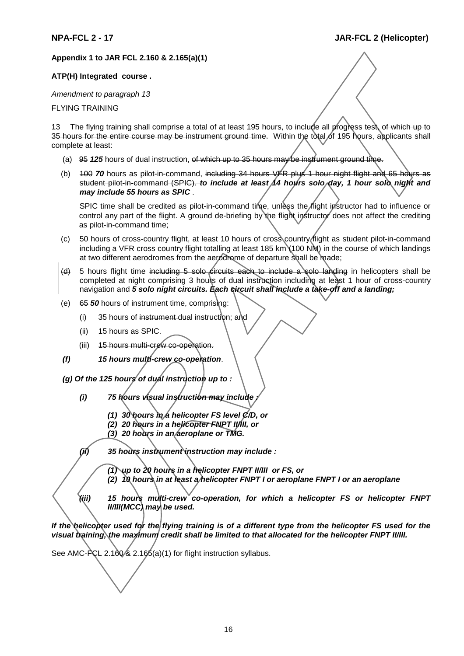# **Appendix 1 to JAR FCL 2.160 & 2.165(a)(1)**

#### **ATP(H) Integrated course .**

*Amendment to paragraph 13*

FLYING TRAINING

13 The flying training shall comprise a total of at least 195 hours, to include all progress test, of which up to 35 hours for the entire course may be instrument ground time. Within the total of 195 hours, applicants shall complete at least:

- (a) 95 *125* hours of dual instruction, of which up to 35 hours may be instrument ground time.
- (b) 400 **70** hours as pilot-in-command, including 34 hours VFR plus 1 hour night flight and 65 hours as student pilot-in-command (SPIC). *to include at least 14 hours solo day, 1 hour solo night and may include 55 hours as SPIC* .

SPIC time shall be credited as pilot-in-command time, unless the flight instructor had to influence or control any part of the flight. A ground de-briefing by the flight instructor does not affect the crediting as pilot-in-command time;

- (c) 50 hours of cross-country flight, at least 10 hours of cross country flight as student pilot-in-command including a VFR cross country flight totalling at least 185 km (100 NM) in the course of which landings at two different aerodromes from the aerodrome of departure shall be made;
- $\left\langle 4\right\rangle$  5 hours flight time including 5 solo circuits each to include a solo landing in helicopters shall be completed at night comprising 3 hours of dual instruction including at least 1 hour of cross-country navigation and 5 solo night circuits. Each circuit shall include a take-off and a landing;
- (e) 65 *50* hours of instrument time, comprising:
	- $(i)$  35 hours of instrument dual instruction; and
	- (ii) 15 hours as SPIC.
	- (iii) 15 hours multi-crew co-operation.
- *(f) 15 hours multi-crew co-operation*.
- *(g) Of the 125 hours of dual instruction up to :*
	- *(i) 75 hours visual instruction may include :*
		- *(1) 30 hours in a helicopter FS level C/D, or*
		- *(2) 20 hours in a helicopter FNPT II/III, or*
		- *(3) 20 hours in an aeroplane or TMG.*

*(ii) 35 hours instrument instruction may include :*

*(1) up to 20 hours in a helicopter FNPT II/III or FS, or (2) 10 hours in at least a helicopter FNPT I or aeroplane FNPT I or an aeroplane*

*(iii) 15 hours multi-crew co-operation, for which a helicopter FS or helicopter FNPT II/III(MCC) may be used.*

*If the helicopter used for the flying training is of a different type from the helicopter FS used for the visual training, the maximum credit shall be limited to that allocated for the helicopter FNPT II/III.*

See AMC-PCL 2.160 & 2.165(a)(1) for flight instruction syllabus.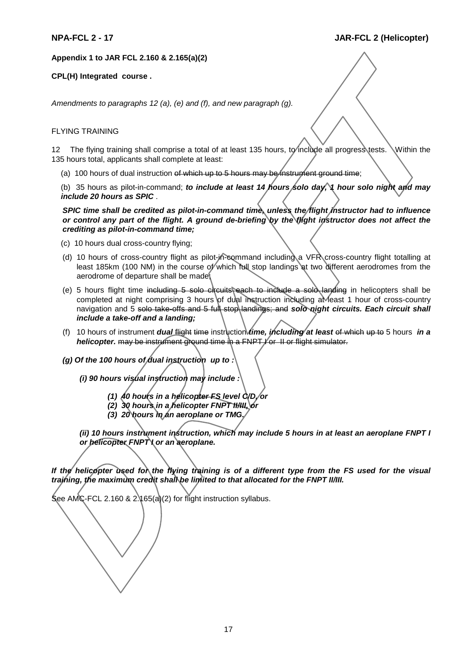#### **Appendix 1 to JAR FCL 2.160 & 2.165(a)(2)**

#### **CPL(H) Integrated course .**

*Amendments to paragraphs 12 (a), (e) and (f), and new paragraph (g).*

#### FLYING TRAINING

12 The flying training shall comprise a total of at least 135 hours, to include all progress tests. Within the 135 hours total, applicants shall complete at least:

(a) 100 hours of dual instruction of which up to 5 hours may be instrument ground time;

(b) 35 hours as pilot-in-command; *to include at least 14 hours* solo day, 1 hour solo night and may *include 20 hours as SPIC* .

*SPIC time shall be credited as pilot-in-command time, unless the flight instructor had to influence or control any part of the flight. A ground de-briefing by the flight instructor does not affect the crediting as pilot-in-command time;*

- (c) 10 hours dual cross-country flying;
- (d) 10 hours of cross-country flight as pilot-in-command including a VFR cross-country flight totalling at least 185km (100 NM) in the course of which full stop landings at two different aerodromes from the aerodrome of departure shall be made;
- (e) 5 hours flight time including  $5$  solo circuits each to include a solo landing in helicopters shall be completed at night comprising 3 hours of dual instruction including a Meast 1 hour of cross-country navigation and 5 solo take-offs and 5 full stop landings; and *solo night circuits. Each circuit shall include a take-off and a landing;*
- (f) 10 hours of instrument *dual* flight time instruction *time, including at least* of which up to 5 hours *in a helicopter.* may be instrument ground time in a FNPT for II or flight simulator.

*(g) Of the 100 hours of dual instruction up to :*

*(i) 90 hours visual instruction may include :*

- *(1) 40 hours in a helicopter FS level C/D, or*
- *(2) 30 hours in a helicopter FNPT II/III, or*
- *(3) 20 hours in an aeroplane or TMG.*

*(ii) 10 hours instrument instruction, which may include 5 hours in at least an aeroplane FNPT I or helicopter FNPT I or an aeroplane.*

*If the helicopter used for the flying training is of a different type from the FS used for the visual training, the maximum credit shall be limited to that allocated for the FNPT II/III.*

See AMC-FCL 2.160 & 2.165(a)(2) for flight instruction syllabus.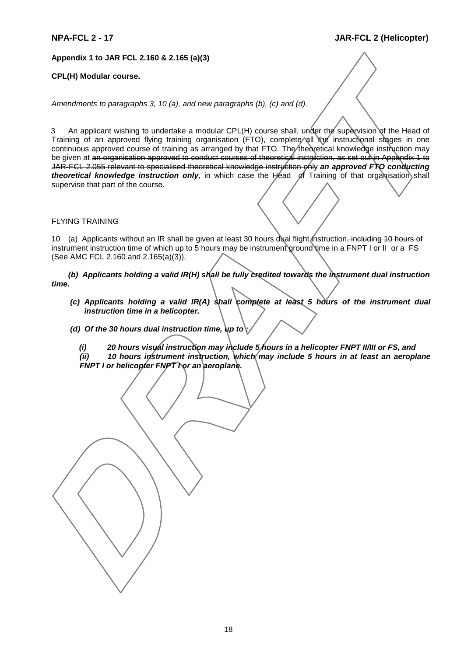### **Appendix 1 to JAR FCL 2.160 & 2.165 (a)(3)**

#### **CPL(H) Modular course.**

*Amendments to paragraphs 3, 10 (a), and new paragraphs (b), (c) and (d).*

3 An applicant wishing to undertake a modular CPL(H) course shall, under the supervision of the Head of Training of an approved flying training organisation (FTO), complete all the instructional stages in one continuous approved course of training as arranged by that FTO. The theoretical knowledge instruction may be given at an organisation approved to conduct courses of theoretical instruction, as set out in Appendix 1 to JAR-FCL 2.055 relevant to specialised theoretical knowledge instruction only *an approved FTO conducting theoretical knowledge instruction only*, in which case the Head of Training of that organisation shall supervise that part of the course.

#### FLYING TRAINING

10 (a) Applicants without an IR shall be given at least 30 hours dual flight instruction, including 10 hours of instrument instruction time of which up to 5 hours may be instrument ground time in a FNPT I or II or a FS (See AMC FCL 2.160 and 2.165(a)(3)).

*(b) Applicants holding a valid IR(H) shall be fully credited towards the instrument dual instruction time.*

- *(c) Applicants holding a valid IR(A) shall complete at least 5 hours of the instrument dual instruction time in a helicopter.*
- *(d) Of the 30 hours dual instruction time, up to :*

*(i) 20 hours visual instruction may include 5 hours in a helicopter FNPT II/III or FS, and (ii) 10 hours instrument instruction, which may include 5 hours in at least an aeroplane FNPT I or helicopter FNPT I or an aeroplane.*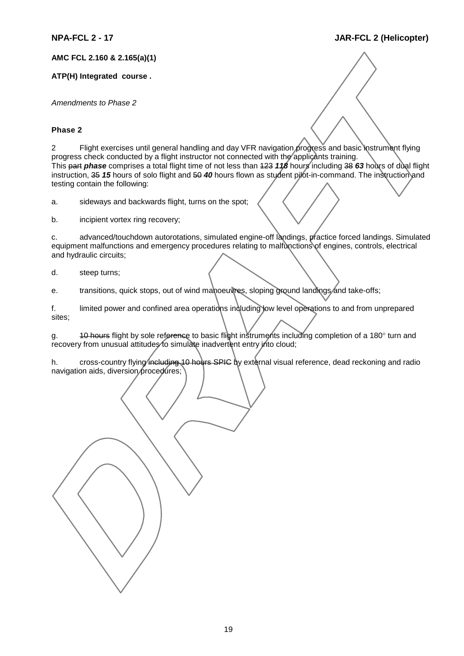**AMC FCL 2.160 & 2.165(a)(1)**

#### **ATP(H) Integrated course .**

*Amendments to Phase 2*

#### **Phase 2**

2 Flight exercises until general handling and day VFR navigation progress and basic instrument flying progress check conducted by a flight instructor not connected with the applicants training. This part *phase* comprises a total flight time of not less than 123 *118* hours including 38 *63* hours of dual flight instruction, 35 *15* hours of solo flight and 50 *40* hours flown as student pilot-in-command. The instruction and testing contain the following:

a. sideways and backwards flight, turns on the spot;

b. incipient vortex ring recovery;

c. advanced/touchdown autorotations, simulated engine-off landings, practice forced landings. Simulated equipment malfunctions and emergency procedures relating to malfunctions of engines, controls, electrical and hydraulic circuits;

d. steep turns;

e. transitions, quick stops, out of wind manoeuvres, sloping ground landings and take-offs;

f. limited power and confined area operations including low level operations to and from unprepared sites;

g. 40 hours flight by sole reference to basic flight instruments including completion of a 180° turn and recovery from unusual attitudes to simulate inadvertent entry into cloud;

h. cross-country flying including 10 hours SPIC by external visual reference, dead reckoning and radio navigation aids, diversion procedures;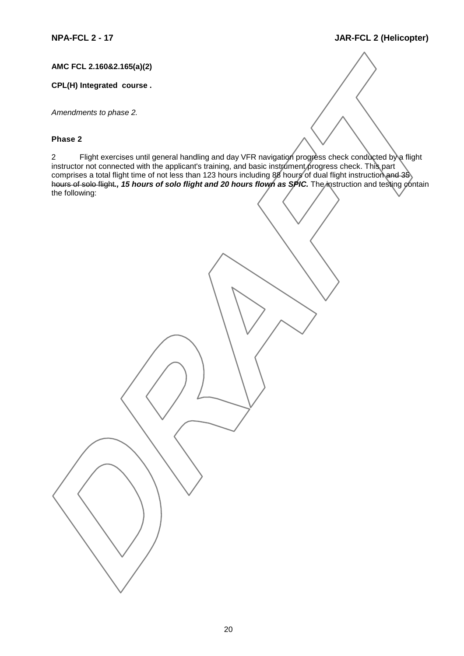**AMC FCL 2.160&2.165(a)(2)**

### **CPL(H) Integrated course .**

*Amendments to phase 2.*

### **Phase 2**

2 Flight exercises until general handling and day VFR navigation progress check conducted by a flight instructor not connected with the applicant's training, and basic instrument progress check. This part comprises a total flight time of not less than 123 hours including 88 hours of dual flight instruction a<del>nd 35</del> hours of solo flight*., 15 hours of solo flight and 20 hours flown as SPIC.* The instruction and testing contain the following: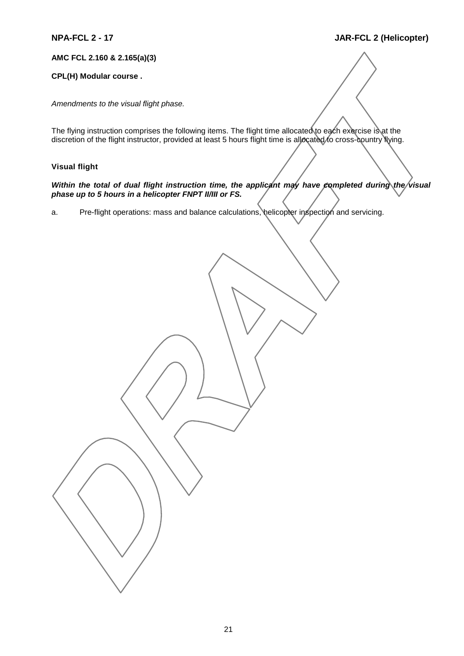#### **AMC FCL 2.160 & 2.165(a)(3)**

#### **CPL(H) Modular course .**

*Amendments to the visual flight phase.*

The flying instruction comprises the following items. The flight time allocated to each exercise is at the discretion of the flight instructor, provided at least 5 hours flight time is allocated to cross-country flying.

### **Visual flight**

#### *Within the total of dual flight instruction time, the applicant may have completed during the visual phase up to 5 hours in a helicopter FNPT II/III or FS.*

a. Pre-flight operations: mass and balance calculations, helicopter inspection and servicing.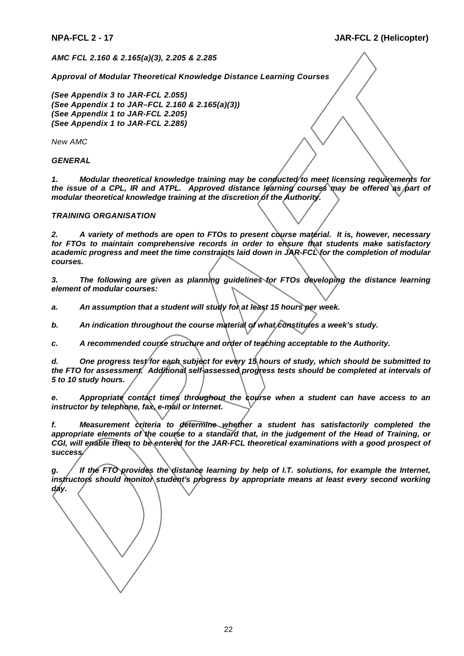*AMC FCL 2.160 & 2.165(a)(3), 2.205 & 2.285*

*Approval of Modular Theoretical Knowledge Distance Learning Courses*

*(See Appendix 3 to JAR-FCL 2.055) (See Appendix 1 to JAR–FCL 2.160 & 2.165(a)(3)) (See Appendix 1 to JAR-FCL 2.205) (See Appendix 1 to JAR-FCL 2.285)*

*New AMC*

*GENERAL*

*1. Modular theoretical knowledge training may be conducted to meet licensing requirements for the issue of a CPL, IR and ATPL. Approved distance learning courses may be offered as part of* modular theoretical knowledge training at the discretion of the Authority.

#### *TRAINING ORGANISATION*

*2. A variety of methods are open to FTOs to present course material. It is, however, necessary for FTOs to maintain comprehensive records in order to ensure that students make satisfactory academic progress and meet the time constraints laid down in JAR-FCL for the completion of modular courses.*

*3. The following are given as planning guidelines for FTOs developing the distance learning element of modular courses:*

*a. An assumption that a student will study for at least 15 hours per week.*

*b. An indication throughout the course material of what constitutes a week's study.*

*c. A recommended course structure and order of teaching acceptable to the Authority.*

*d. One progress test for each subject for every 15 hours of study, which should be submitted to the FTO for assessment. Additional self-assessed progress tests should be completed at intervals of 5 to 10 study hours.*

*e. Appropriate contact times throughout the course when a student can have access to an instructor by telephone, fax, e-mail or Internet.*

*f. Measurement criteria to determine whether a student has satisfactorily completed the appropriate elements of the course to a standard that, in the judgement of the Head of Training, or CGI, will enable them to be entered for the JAR-FCL theoretical examinations with a good prospect of success.*

*g. If the FTO provides the distance learning by help of I.T. solutions, for example the Internet, instructors should monitor student's progress by appropriate means at least every second working day.*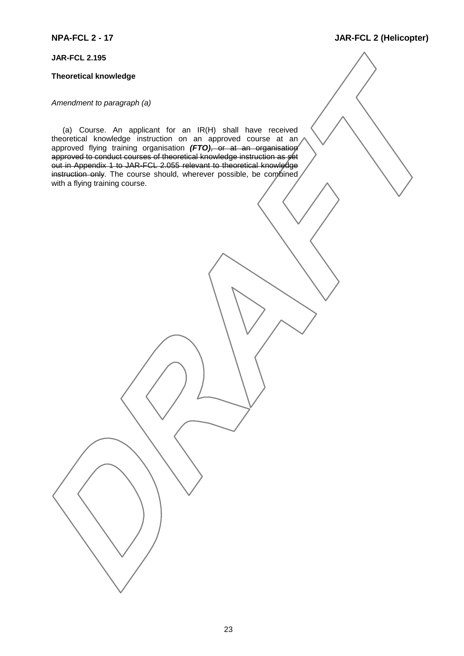### **JAR-FCL 2.195**

#### **Theoretical knowledge**

#### *Amendment to paragraph (a)*

(a) Course. An applicant for an IR(H) shall have received theoretical knowledge instruction on an approved course at an approved flying training organisation (FTO), or at an organisation approved to conduct courses of theoretical knowledge instruction as set out in Appendix 1 to JAR-FCL 2.055 relevant to theoretical knowledge instruction only. The course should, wherever possible, be combined with a flying training course.

# **NPA-FCL 2 - 17 JAR-FCL 2 (Helicopter)**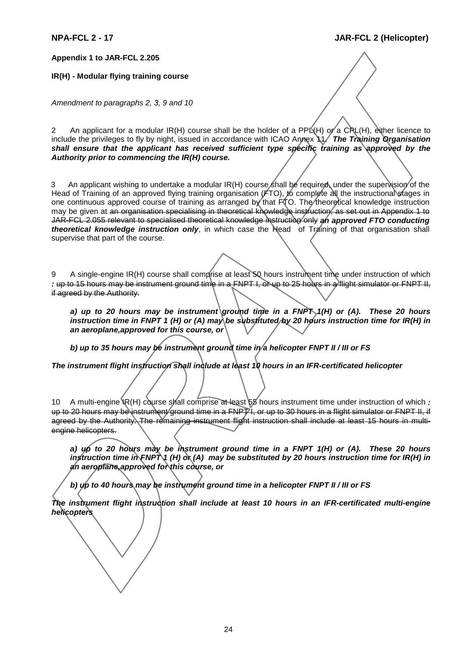#### **Appendix 1 to JAR-FCL 2.205**

#### **IR(H) - Modular flying training course**

*Amendment to paragraphs 2, 3, 9 and 10*

2 An applicant for a modular IR(H) course shall be the holder of a PPL $(H)$  or a CRL(H), either licence to include the privileges to fly by night, issued in accordance with ICAO Annex 11. *The Training Organisation shall ensure that the applicant has received sufficient type specific training as approved by the Authority prior to commencing the IR(H) course.*

3 An applicant wishing to undertake a modular IR(H) course shall be required, under the supervision of the Head of Training of an approved flying training organisation (FTO), to complete all the instructional stages in one continuous approved course of training as arranged by that FTO. The theoretical knowledge instruction may be given at an organisation specialising in theoretical knowledge instruction, as set out in Appendix 1 to JAR-FCL 2.055 relevant to specialised theoretical knowledge instruction only *an approved FTO conducting theoretical knowledge instruction only*, in which case the Head of Training of that organisation shall supervise that part of the course.

9 A single-engine IR(H) course shall comprise at least 50 hours instrument time under instruction of which *:* up to 15 hours may be instrument ground time in a FNPT I, or up to 25 hours in a flight simulator or FNPT II, if agreed by the Authority.

*a) up to 20 hours may be instrument ground time in a FNPT 1(H) or (A). These 20 hours instruction time in FNPT 1 (H) or (A) may be substituted by 20 hours instruction time for IR(H) in an aeroplane,approved for this course, or*

*b) up to 35 hours may be instrument ground time in a helicopter FNPT II / III or FS*

*The instrument flight instruction shall include at least 10 hours in an IFR-certificated helicopter*

10 A multi-engine IR(H) course shall comprise at least 55 hours instrument time under instruction of which *:* up to 20 hours may be instrument ground time in a FNPT I, or up to 30 hours in a flight simulator or FNPT II, if agreed by the Authority. The remaining instrument flight instruction shall include at least 15 hours in multiengine helicopters.

*a) up to 20 hours may be instrument ground time in a FNPT 1(H) or (A). These 20 hours instruction time in FNPT 1 (H) or (A) may be substituted by 20 hours instruction time for IR(H) in an aeroplane,approved for this course, or*

*b) up to 40 hours may be instrument ground time in a helicopter FNPT II / III or FS*

*The instrument flight instruction shall include at least 10 hours in an IFR-certificated multi-engine helicopters*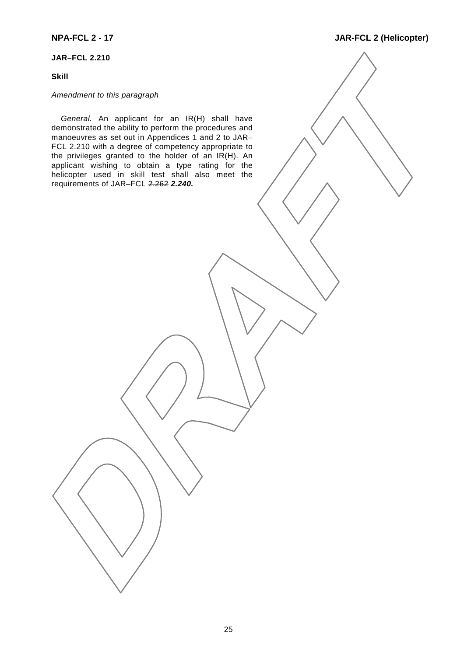## **JAR–FCL 2.210**

### **Skill**

# *Amendment to this paragraph*

*General.* An applicant for an IR(H) shall have demonstrated the ability to perform the procedures and manoeuvres as set out in Appendices 1 and 2 to JAR– FCL 2.210 with a degree of competency appropriate to the privileges granted to the holder of an IR(H). An applicant wishing to obtain a type rating for the helicopter used in skill test shall also meet the requirements of JAR–FCL 2.262 *2.240.*

### **NPA-FCL 2 - 17 JAR-FCL 2 (Helicopter)**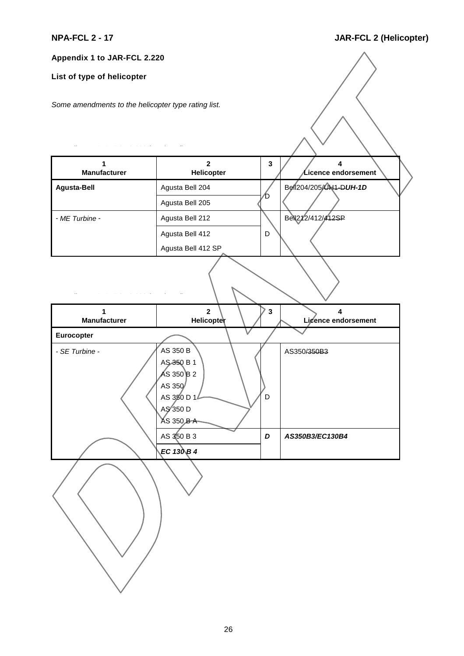$\langle$ 

**Appendix 1 to JAR-FCL 2.220**

# **List of type of helicopter**

*Some amendments to the helicopter type rating list.*

| 1<br><b>Manufacturer</b> | $\overline{2}$<br>Helicopter                                                                                    | $\mathbf{3}$ | 4<br>$\cal L$ icence endorsement |
|--------------------------|-----------------------------------------------------------------------------------------------------------------|--------------|----------------------------------|
| <b>Agusta-Bell</b>       | Agusta Bell 204                                                                                                 |              | Bell204/205/041-DUH-1D           |
|                          | Agusta Bell 205                                                                                                 | ⁄D           |                                  |
| - ME Turbine -           | Agusta Bell 212                                                                                                 |              | Bell212/412/412SP                |
|                          | Agusta Bell 412                                                                                                 | D            |                                  |
|                          | Agusta Bell 412 SP                                                                                              |              |                                  |
|                          |                                                                                                                 |              |                                  |
| 1<br><b>Manufacturer</b> | $\overline{\mathbf{2}}$<br>Helicopter                                                                           | $\mathbf 3$  | 4<br>Licence endorsement         |
| Eurocopter               |                                                                                                                 |              |                                  |
| - SE Turbine -           | AS 350 B<br>AS 350 B 1<br>$\angle$ AS 350 $\angle$ B 2<br>AS 350<br>AS 350 D 14<br>AS 350 D<br><b>AS 350 BA</b> | D            | AS350/350B3                      |
|                          | AS 350 B 3                                                                                                      | D            | AS350B3/EC130B4                  |
|                          | EC 130 $\beta$ 4                                                                                                |              |                                  |
|                          |                                                                                                                 |              |                                  |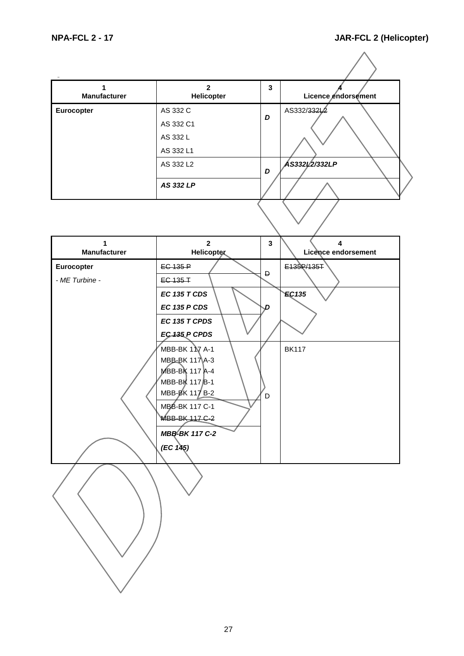$\triangle$ 

| <b>Manufacturer</b> | $\mathbf{2}$<br>Helicopter | 3 | Licence endorsement |
|---------------------|----------------------------|---|---------------------|
| Eurocopter          | AS 332 C<br>AS 332 C1      | D | AS332/33212         |
|                     | AS 332 L<br>AS 332 L1      |   |                     |
|                     | AS 332 L2                  | D | AS33212/332LP       |
|                     | AS 332 LP                  |   |                     |
|                     |                            |   |                     |

| $\mathbf{1}$<br><b>Manufacturer</b> | $\overline{2}$<br><b>Helicopter</b> | $\mathbf{3}$ | $\overline{\mathbf{4}}$<br>Licence endorsement |
|-------------------------------------|-------------------------------------|--------------|------------------------------------------------|
| Eurocopter                          | <b>EC 135 P</b>                     |              | E139R/135T                                     |
| - ME Turbine -                      | EC-135-T                            | Đ            |                                                |
|                                     | <b>EC 135 T CDS</b>                 |              | EC135                                          |
|                                     | <b>EC 135 P CDS</b>                 | D            |                                                |
|                                     | EC 135 T CPDS                       |              |                                                |
|                                     | EC435 P CPDS                        |              |                                                |
|                                     | MBB-BK 1 Y A-1                      |              | <b>BK117</b>                                   |
|                                     | MBB-BK 117 A-3<br>MBB-BK 117 A-4    |              |                                                |
|                                     | MBB-BK 117B-1                       |              |                                                |
|                                     | MBB-BK 117 B-2                      | D            |                                                |
|                                     | MBB-BK 117 C-1                      |              |                                                |
|                                     | <b>MBB-BK 117 C-2</b>               |              |                                                |
|                                     | <b>MBB-BK 117 C-2</b>               |              |                                                |
|                                     | (EC 145)                            |              |                                                |
|                                     |                                     |              |                                                |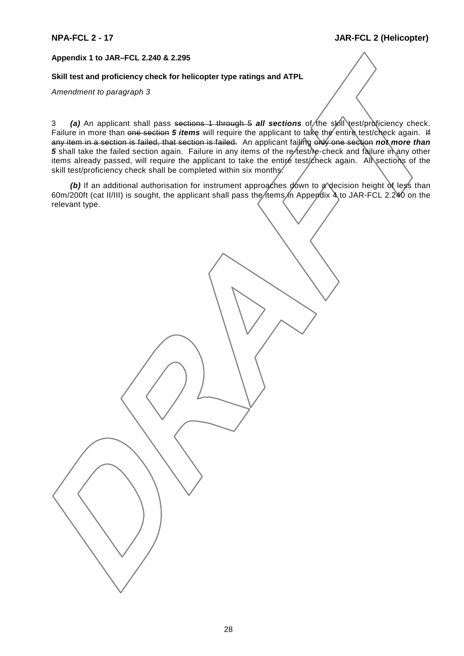#### **Appendix 1 to JAR–FCL 2.240 & 2.295**

#### **Skill test and proficiency check for helicopter type ratings and ATPL**

#### *Amendment to paragraph 3*

3 (a) An applicant shall pass sections 1 through 5 *all sections* of the skill test/proficiency check. Failure in more than one section 5 items will require the applicant to take the entire test/check again. If any item in a section is failed, that section is failed. An applicant failing only one section *not more than* 5 shall take the failed section again. Failure in any items of the re-test/re-check and failure in any other items already passed, will require the applicant to take the entire test/check again. All sections of the skill test/proficiency check shall be completed within six months.

*(b)* If an additional authorisation for instrument approaches down to a decision height of less than 60m/200ft (cat II/III) is sought, the applicant shall pass the *items in Appendix 4* to JAR-FCL 2.240 on the relevant type.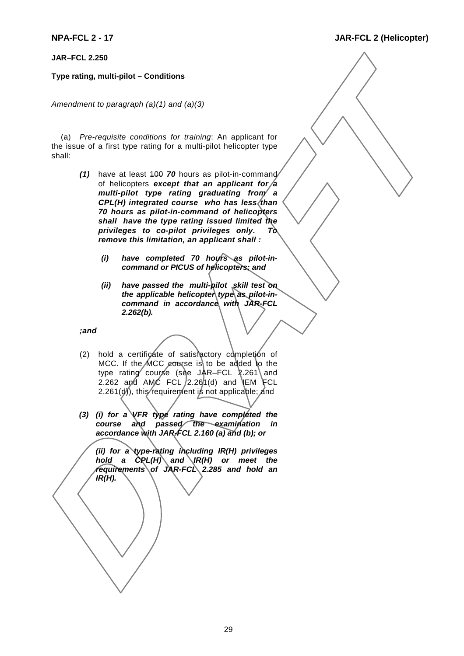**JAR–FCL 2.250**

### **Type rating, multi-pilot – Conditions**

*Amendment to paragraph (a)(1) and (a)(3)*

(a) *Pre-requisite conditions for training*: An applicant for the issue of a first type rating for a multi-pilot helicopter type shall:

- *(1)* have at least 100 *70* hours as pilot-in-command of helicopters *except that an applicant for a multi-pilot type rating graduating from a CPL(H) integrated course who has less than 70 hours as pilot-in-command of helicopters shall have the type rating issued limited the privileges to co-pilot privileges only. To remove this limitation, an applicant shall :*
	- *(i) have completed 70 hours as pilot-incommand or PICUS of helicopters; and*
	- *(ii) have passed the multi-pilot skill test on* the applicable helicopter type as pilot-in*command in accordance with JAR-FCL 2.262(b).*

*;and*

- (2) hold a certificate of satisfactory completion of MCC. If the MCC course is to be added to the type rating course (see JAR–FCL  $2.261$  and 2.262 and AMC FCL  $/2.261(d)$  and LEM FCL 2.261( $d$ ), this requirement is not applicable; and
- *(3) (i) for a VFR type rating have completed the course and passed the examination in accordance with JAR-FCL 2.160 (a) and (b); or*

*(ii) for a type-rating including IR(H) privileges* hold a CPL(H) and IR(H) or meet the *requirements of JAR-FCL 2.285 and hold an IR(H).*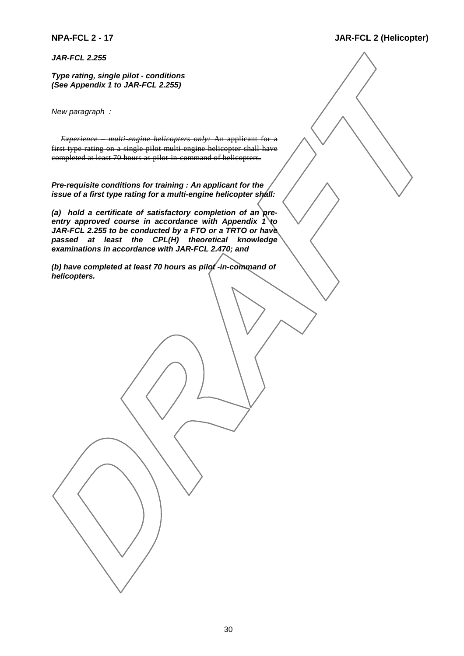*JAR-FCL 2.255*

*Type rating, single pilot - conditions (See Appendix 1 to JAR-FCL 2.255)*

*New paragraph :*

*Experience – multi-engine helicopters only:* An applicant for a first type rating on a single pilot multi-engine helicopter shall have completed at least 70 hours as pilot in command of helicopters.

*Pre-requisite conditions for training : An applicant for the issue of a first type rating for a multi-engine helicopter shall:*

*(a) hold a certificate of satisfactory completion of an preentry approved course in accordance with Appendix 1 to JAR-FCL 2.255 to be conducted by a FTO or a TRTO or have passed at least the CPL(H) theoretical knowledge examinations in accordance with JAR-FCL 2.470; and*

*(b) have completed at least 70 hours as pilot -in-command of helicopters.*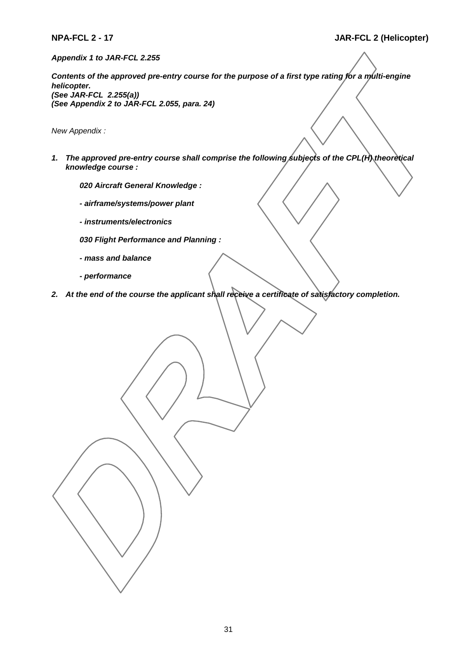*Appendix 1 to JAR-FCL 2.255*

*Contents of the approved pre-entry course for the purpose of a first type rating for a multi-engine helicopter. (See JAR-FCL 2.255(a)) (See Appendix 2 to JAR-FCL 2.055, para. 24)*

*New Appendix :*

- 1. The approved pre-entry course shall comprise the following subjects of the CPL(H) theoretical *knowledge course :*
	- *020 Aircraft General Knowledge :*
	- *airframe/systems/power plant*
	- *instruments/electronics*
	- *030 Flight Performance and Planning :*
	- *mass and balance*
	- *performance*
- *2. At the end of the course the applicant shall receive a certificate of satisfactory completion.*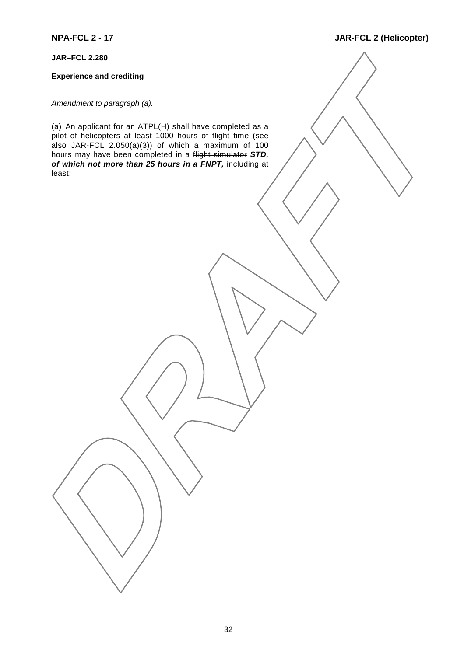**JAR–FCL 2.280**

### **Experience and crediting**

*Amendment to paragraph (a).*

(a) An applicant for an ATPL(H) shall have completed as a pilot of helicopters at least 1000 hours of flight time (see also JAR-FCL  $2.050(a)(3)$  of which a maximum of 100 hours may have been completed in a flight simulator *STD, of which not more than 25 hours in a FNPT,* including at least:

# **NPA-FCL 2 - 17 JAR-FCL 2 (Helicopter)**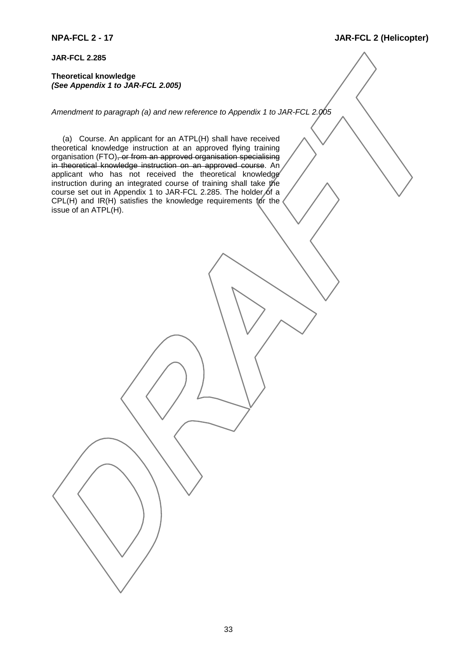**JAR-FCL 2.285**

**Theoretical knowledge** *(See Appendix 1 to JAR-FCL 2.005)*

*Amendment to paragraph (a) and new reference to Appendix 1 to JAR-FCL 2.005*

(a) Course. An applicant for an ATPL(H) shall have received theoretical knowledge instruction at an approved flying training organisation (FTO), or from an approved organisation specialising in theoretical knowledge instruction on an approved course. An applicant who has not received the theoretical knowledge instruction during an integrated course of training shall take the course set out in Appendix 1 to JAR-FCL 2.285. The holder of a CPL(H) and IR(H) satisfies the knowledge requirements for the issue of an ATPL(H).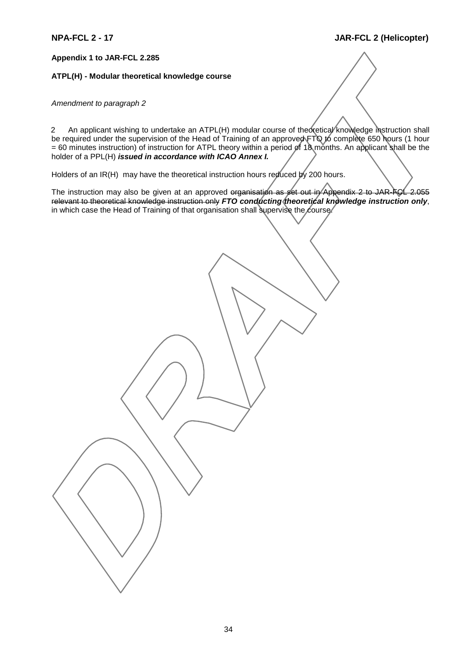**Appendix 1 to JAR-FCL 2.285**

#### **ATPL(H) - Modular theoretical knowledge course**

#### *Amendment to paragraph 2*

2 An applicant wishing to undertake an ATPL(H) modular course of theoretical knowledge instruction shall be required under the supervision of the Head of Training of an approved FTQ to complete 650 hours (1 hour = 60 minutes instruction) of instruction for ATPL theory within a period of 18 months. An applicant shall be the holder of a PPL(H) *issued in accordance with ICAO Annex I.*

Holders of an IR(H) may have the theoretical instruction hours reduced by 200 hours.

The instruction may also be given at an approved organisation as set out in Appendix 2 to JAR-FCL 2.055 relevant to theoretical knowledge instruction only *FTO conducting theoretical knowledge instruction only*, in which case the Head of Training of that organisation shall supervise the course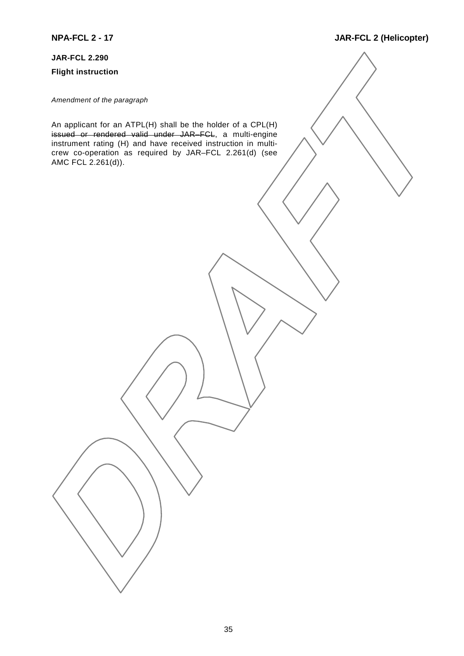#### **JAR-FCL 2.290**

**Flight instruction**

*Amendment of the paragraph*

An applicant for an ATPL(H) shall be the holder of a CPL(H) issued or rendered valid under JAR–FCL, a multi-engine instrument rating (H) and have received instruction in multicrew co-operation as required by JAR–FCL 2.261(d) (see AMC FCL 2.261(d)).

# **NPA-FCL 2 - 17 JAR-FCL 2 (Helicopter)**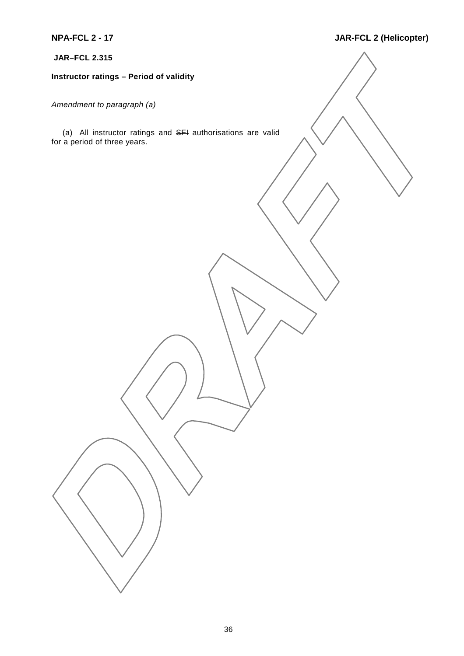**JAR–FCL 2.315**

# **Instructor ratings – Period of validity**

*Amendment to paragraph (a)*

(a) All instructor ratings and SFI authorisations are valid for a period of three years.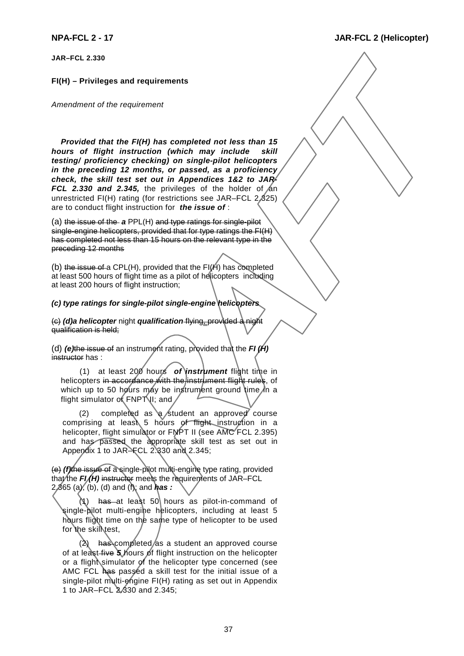**JAR–FCL 2.330**

#### **FI(H) – Privileges and requirements**

*Amendment of the requirement*

*Provided that the FI(H) has completed not less than 15 hours of flight instruction (which may include skill testing/ proficiency checking) on single-pilot helicopters in the preceding 12 months, or passed, as a proficiency check, the skill test set out in Appendices 1&2 to JAR-FCL 2.330 and 2.345, the privileges of the holder of an* unrestricted FI(H) rating (for restrictions see JAR–FCL 2.325) are to conduct flight instruction for *the issue of* :

(a) the issue of the *a* PPL(H) and type ratings for single-pilot single-engine helicopters, provided that for type ratings the FI(H) has completed not less than 15 hours on the relevant type in the preceding 12 months

(b) the issue of a CPL(H), provided that the  $FI(H)$  has completed at least 500 hours of flight time as a pilot of helicopters including at least 200 hours of flight instruction;

#### *(c) type ratings for single-pilot single-engine helicopters*

(c) *(d)a helicopter* night *qualification* flying, provided a night qualification is held;

(d) *(e)*the issue of an instrument rating, provided that the *FI (H)* instructor has :

(1) at least 200 hours *of instrument* flight time in helicopters in accordance with the instrument flight rules, of which up to 50 hours may be instrument ground time in a flight simulator of  $FNP$  III; and

(2) completed as  $\alpha$  student an approved course comprising at least 5 hours of flight instruction in a helicopter, flight simulator or FNPT II (see AMC FCL 2.395) and has passed the appropriate skill test as set out in Appendix 1 to JAR–FCL 2.830 and 2.345;

(e) *(f)*the issue of a single-pilot multi-engine type rating, provided that the **FI/H**) instructor meets the requirements of JAR–FCL 2.365 (a), (b), (d) and (f); and *has :*

has at least 50 hours as pilot-in-command of single-pilot multi-engine helicopters, including at least 5 hours flight time on the same type of helicopter to be used for the skill test,

 $(2)$  has completed/as a student an approved course of at least five *5* hours of flight instruction on the helicopter or a flight simulator of the helicopter type concerned (see AMC FCL has passed a skill test for the initial issue of a single-pilot multi-engine FI(H) rating as set out in Appendix 1 to JAR–FCL 2.330 and 2.345;

37

#### **NPA-FCL 2 - 17 JAR-FCL 2 (Helicopter)**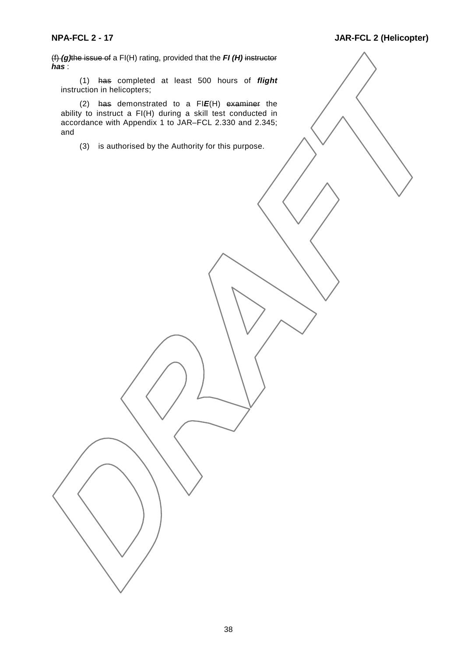(f) *(g)*the issue of a FI(H) rating, provided that the *FI (H)* instructor *has* :

(1) has completed at least 500 hours of *flight* instruction in helicopters;

(2) has demonstrated to a FI*E*(H) examiner the ability to instruct a FI(H) during a skill test conducted in accordance with Appendix 1 to JAR–FCL 2.330 and 2.345; and

(3) is authorised by the Authority for this purpose.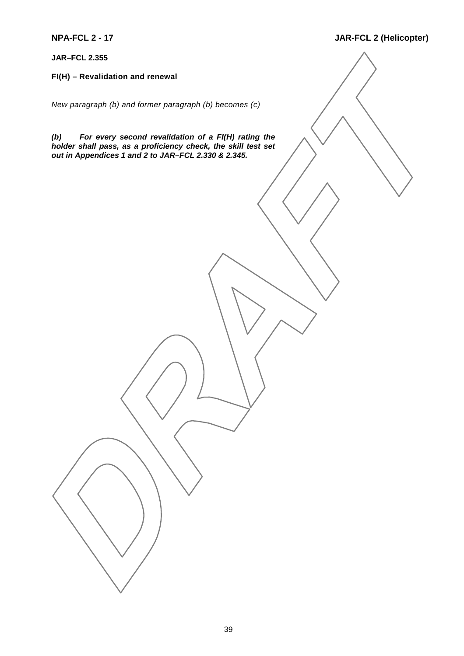**JAR–FCL 2.355**

**FI(H) – Revalidation and renewal**

*New paragraph (b) and former paragraph (b) becomes (c)*

*(b) For every second revalidation of a FI(H) rating the holder shall pass, as a proficiency check, the skill test set out in Appendices 1 and 2 to JAR–FCL 2.330 & 2.345.*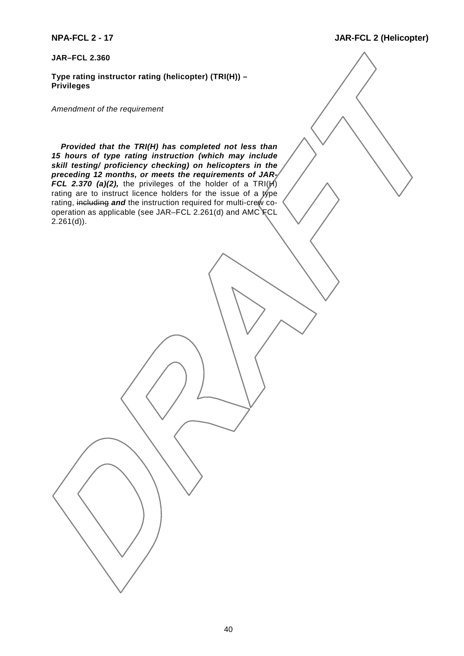#### **JAR–FCL 2.360**

**Type rating instructor rating (helicopter) (TRI(H)) – Privileges**

*Amendment of the requirement*

*Provided that the TRI(H) has completed not less than 15 hours of type rating instruction (which may include skill testing/ proficiency checking) on helicopters in the preceding 12 months, or meets the requirements of JAR-FCL 2.370 (a)(2),* the privileges of the holder of a  $TRI(\cancel{H})$ rating are to instruct licence holders for the issue of a type rating, including *and* the instruction required for multi-crew cooperation as applicable (see JAR–FCL 2.261(d) and AMC FCL 2.261(d)).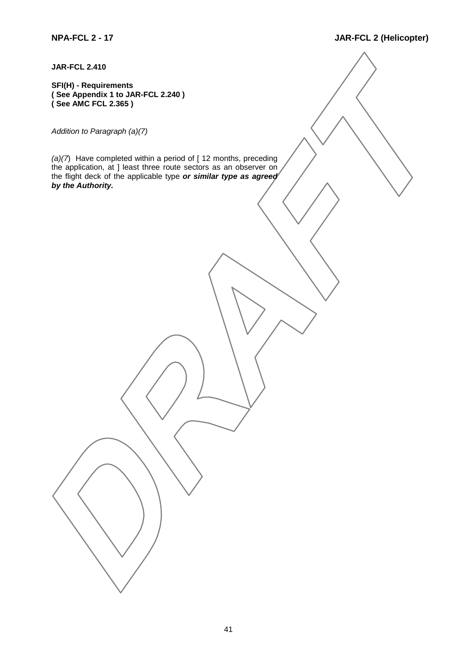**JAR-FCL 2.410**

**SFI(H) - Requirements ( See Appendix 1 to JAR-FCL 2.240 ) ( See AMC FCL 2.365 )**

*Addition to Paragraph (a)(7)*

*(a)(7*) Have completed within a period of [ 12 months, preceding the application, at ] least three route sectors as an observer on the flight deck of the applicable type *or similar type as agreed by the Authority.*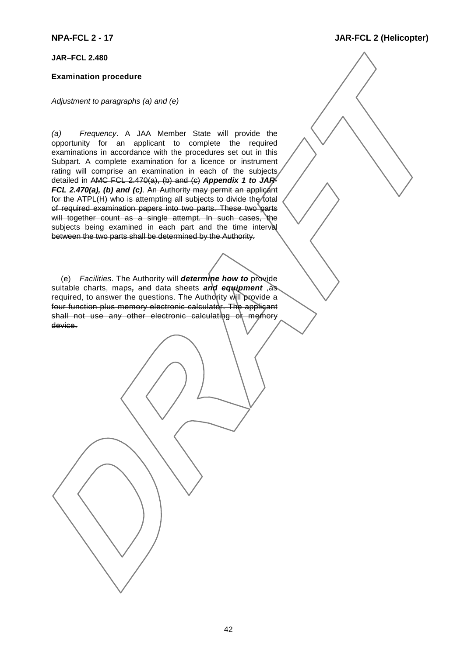#### **JAR–FCL 2.480**

#### **Examination procedure**

*Adjustment to paragraphs (a) and (e)*

*(a) Frequency*. A JAA Member State will provide the opportunity for an applicant to complete the required examinations in accordance with the procedures set out in this Subpart. A complete examination for a licence or instrument rating will comprise an examination in each of the subjects detailed in AMC FCL 2.470(a), (b) and (c) *Appendix 1 to JAR-FCL 2.470(a), (b) and (c)*. An Authority may permit an applicant for the ATPL(H) who is attempting all subjects to divide the total of required examination papers into two parts. These two parts will together count as a single attempt. In such cases, the subjects being examined in each part and the time interval between the two parts shall be determined by the Authority.

(e) *Facilities*. The Authority will *determine how to* provide suitable charts, maps*,* and data sheets *and equipment* ,as required, to answer the questions. The Authority will provide a four function plus memory electronic calculator. The applicant shall not use any other electronic calculating of memory device.

**NPA-FCL 2 - 17 JAR-FCL 2 (Helicopter)**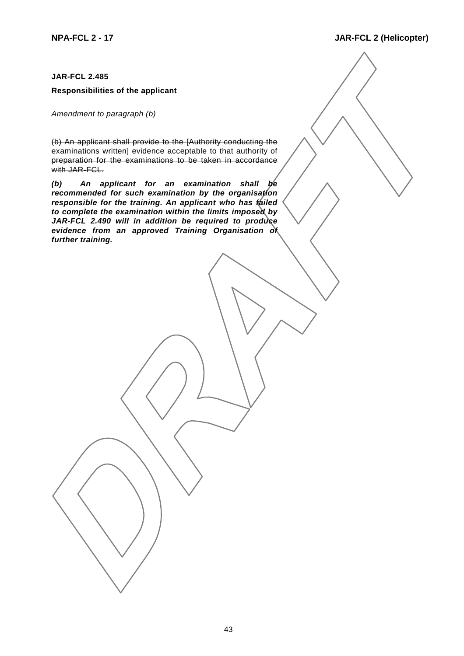#### **JAR-FCL 2.485**

#### **Responsibilities of the applicant**

*Amendment to paragraph (b)*

(b) An applicant shall provide to the [Authority conducting the examinations written] evidence acceptable to that authority of preparation for the examinations to be taken in accordance with JAR-FCL.

*(b) An applicant for an examination shall be recommended for such examination by the organisation responsible for the training. An applicant who has failed to complete the examination within the limits imposed by JAR-FCL 2.490 will in addition be required to produce evidence from an approved Training Organisation of further training.*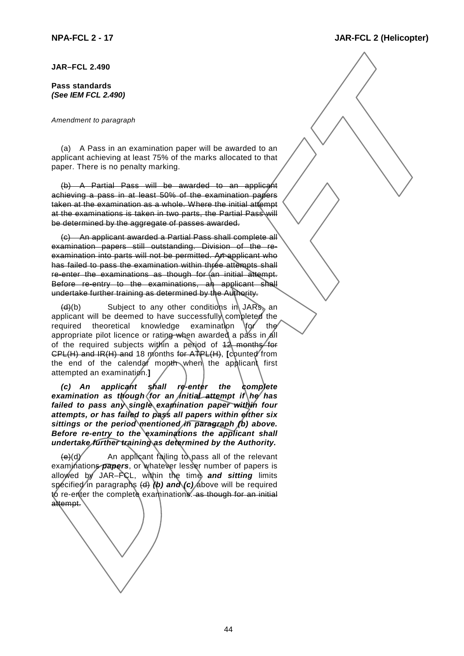#### **JAR–FCL 2.490**

#### **Pass standards** *(See IEM FCL 2.490)*

#### *Amendment to paragraph*

(a) A Pass in an examination paper will be awarded to an applicant achieving at least 75% of the marks allocated to that paper. There is no penalty marking.

(b) A Partial Pass will be awarded to an applicant achieving a pass in at least 50% of the examination papers taken at the examination as a whole. Where the initial attempt at the examinations is taken in two parts, the Partial Pass will be determined by the aggregate of passes awarded.

(c) An applicant awarded a Partial Pass shall complete all examination papers still outstanding. Division of the reexamination into parts will not be permitted. An applicant who has failed to pass the examination within three attempts shall re-enter the examinations as though for (an initial attempt. Before re-entry to the examinations, an applicant shall undertake further training as determined by the Authority.

 $(d)(b)$  Subject to any other conditions in JARs, an applicant will be deemed to have successfully completed the required theoretical knowledge examination  $\delta$  the appropriate pilot licence or rating when awarded a pass in all of the required subjects within a period of  $12$  months for CPL(H) and IR(H) and 18 months for ATPL(H), **[**counted from the end of the calendar month when the applicant first attempted an examination.**]**

*(c) An applicant shall re-enter the complete* examination as though (for an *initial attempt if \he* has *failed to pass any single examination paper within four attempts, or has failed to pass all papers within either six sittings or the period mentioned in paragraph (b) above. Before re-entry to the examinations the applicant shall undertake further training as determined by the Authority.*

 $(e)(d)$  An applicant failing to pass all of the relevant examinations **papers**, or whatever lesser number of papers is allowed by JAR–FCL, within the time *and sitting* limits specified in paragraphs (d) (b) and (c) above will be required to re-enter the complete examinations. as though for an initial attempt.

# **NPA-FCL 2 - 17 JAR-FCL 2 (Helicopter)**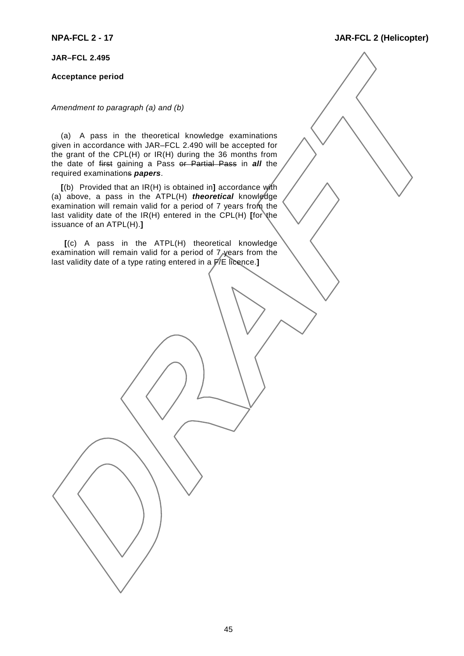**JAR–FCL 2.495**

#### **Acceptance period**

*Amendment to paragraph (a) and (b)*

(a) A pass in the theoretical knowledge examinations given in accordance with JAR–FCL 2.490 will be accepted for the grant of the CPL(H) or IR(H) during the 36 months from the date of first gaining a Pass or Partial Pass in *all* the required examinations *papers*.

**[**(b) Provided that an IR(H) is obtained in**]** accordance with (a) above, a pass in the ATPL(H) *theoretical* knowledge examination will remain valid for a period of 7 years from the last validity date of the IR(H) entered in the CPL(H) [for the issuance of an ATPL(H).**]**

 **[**(c) A pass in the ATPL(H) theoretical knowledge examination will remain valid for a period of 7 years from the last validity date of a type rating entered in a F/E licence.**]**